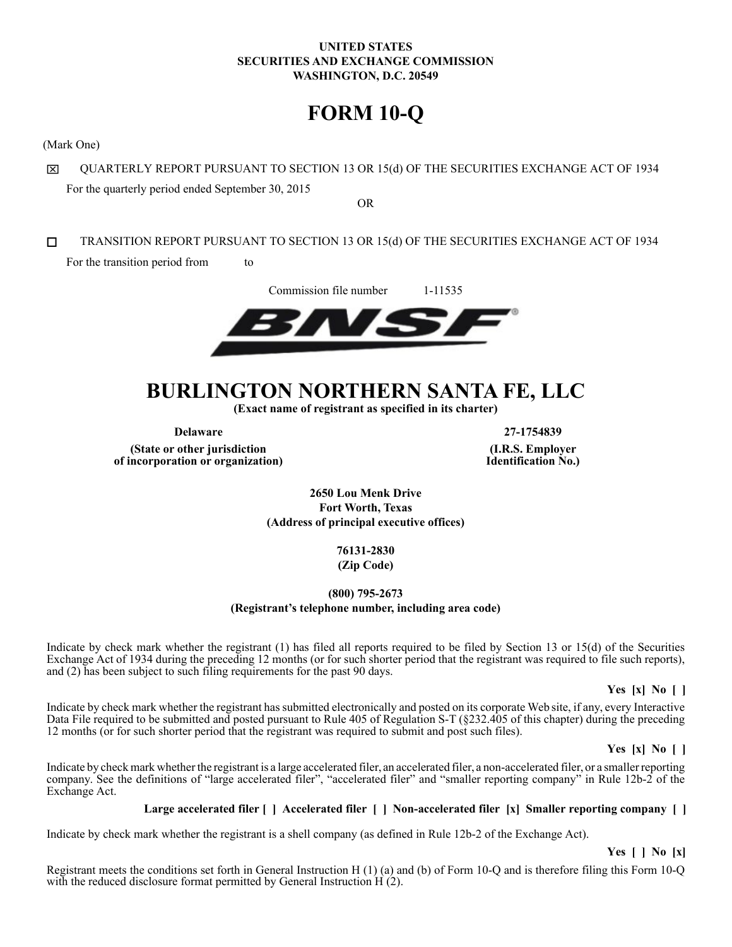# **UNITED STATES SECURITIES AND EXCHANGE COMMISSION WASHINGTON, D.C. 20549**

# **FORM 10-Q**

(Mark One)

QUARTERLY REPORT PURSUANT TO SECTION 13 OR 15(d) OF THE SECURITIES EXCHANGE ACT OF 1934 冈 For the quarterly period ended September 30, 2015

OR

П TRANSITION REPORT PURSUANT TO SECTION 13 OR 15(d) OF THE SECURITIES EXCHANGE ACT OF 1934 For the transition period from to

Commission file number 1-11535

# **BURLINGTON NORTHERN SANTA FE, LLC**

**(Exact name of registrant as specified in its charter)**

**(State or other jurisdiction of incorporation or organization)**

**Delaware 27-1754839 (I.R.S. Employer Identification No.)**

> **2650 Lou Menk Drive Fort Worth, Texas (Address of principal executive offices)**

> > **76131-2830 (Zip Code)**

**(800) 795-2673 (Registrant's telephone number, including area code)**

Indicate by check mark whether the registrant (1) has filed all reports required to be filed by Section 13 or 15(d) of the Securities Exchange Act of 1934 during the preceding 12 months (or for such shorter period that the registrant was required to file such reports), and (2) has been subject to such filing requirements for the past 90 days.

**Yes [x] No [ ]**

Indicate by check mark whether the registrant has submitted electronically and posted on its corporate Web site, if any, every Interactive Data File required to be submitted and posted pursuant to Rule 405 of Regulation S-T (§232.405 of this chapter) during the preceding 12 months (or for such shorter period that the registrant was required to submit and post such files).

**Yes [x] No [ ]**

Indicate by check mark whether the registrant is a large accelerated filer, an accelerated filer, a non-accelerated filer, or a smaller reporting company. See the definitions of "large accelerated filer", "accelerated filer" and "smaller reporting company" in Rule 12b-2 of the Exchange Act.

# **Large accelerated filer [ ] Accelerated filer [ ] Non-accelerated filer [x] Smaller reporting company [ ]**

Indicate by check mark whether the registrant is a shell company (as defined in Rule 12b-2 of the Exchange Act).

**Yes [ ] No [x]**

Registrant meets the conditions set forth in General Instruction H (1) (a) and (b) of Form 10-Q and is therefore filing this Form 10-Q with the reduced disclosure format permitted by General Instruction H (2).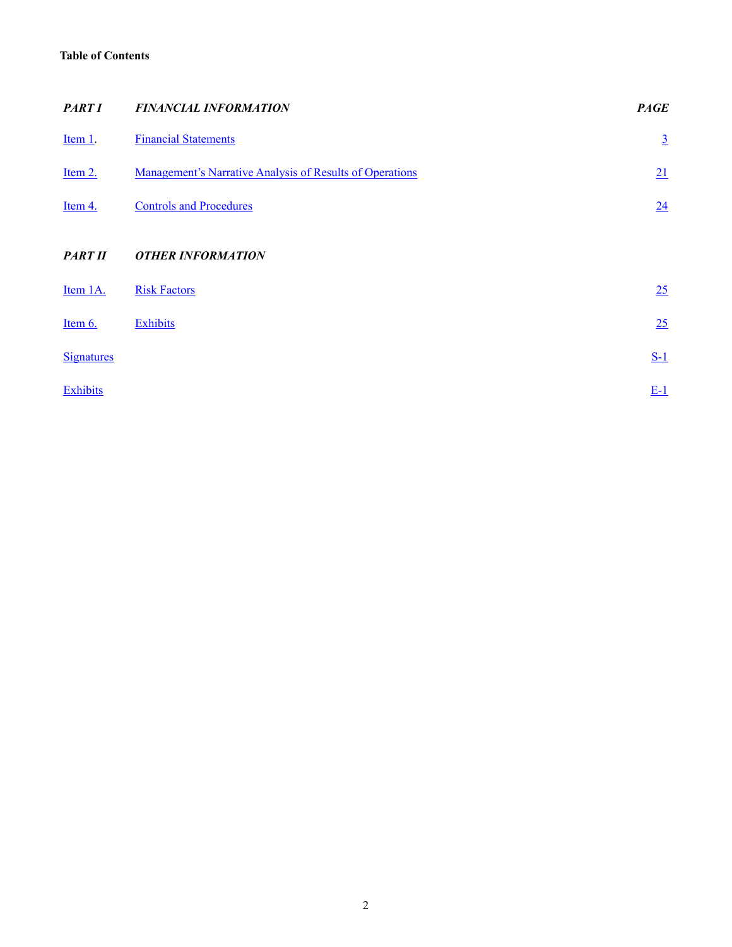# <span id="page-1-0"></span>**Table of Contents**

| <b>PART I</b>     | <b>FINANCIAL INFORMATION</b>                             | <b>PAGE</b>     |
|-------------------|----------------------------------------------------------|-----------------|
| Item 1.           | <b>Financial Statements</b>                              | $\underline{3}$ |
| Item 2.           | Management's Narrative Analysis of Results of Operations | 21              |
| Item 4.           | <b>Controls and Procedures</b>                           | 24              |
| <b>PART II</b>    | <b>OTHER INFORMATION</b>                                 |                 |
|                   |                                                          |                 |
| Item 1A.          | <b>Risk Factors</b>                                      | 25              |
| Item 6.           | <b>Exhibits</b>                                          | 25              |
| <b>Signatures</b> |                                                          | $S-1$           |
| Exhibits          |                                                          | $E-1$           |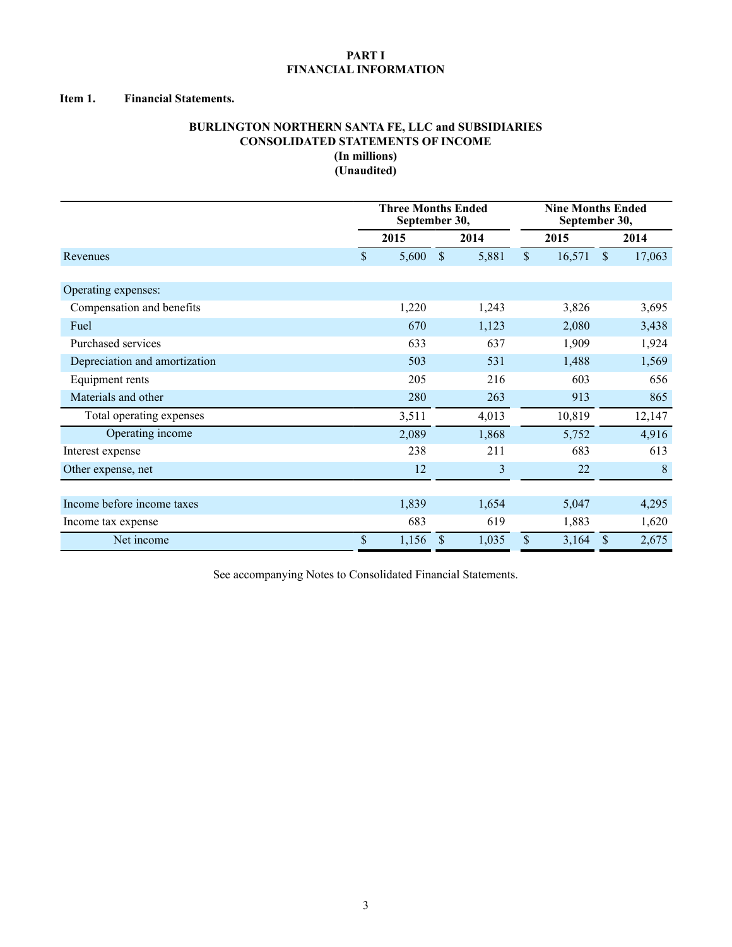# **PART I FINANCIAL INFORMATION**

## <span id="page-2-0"></span>**Item 1. Financial Statements.**

# **BURLINGTON NORTHERN SANTA FE, LLC and SUBSIDIARIES CONSOLIDATED STATEMENTS OF INCOME (In millions) (Unaudited)**

|                               |               | <b>Three Months Ended</b><br>September 30, |              | <b>Nine Months Ended</b><br>September 30, |              |               |        |
|-------------------------------|---------------|--------------------------------------------|--------------|-------------------------------------------|--------------|---------------|--------|
|                               |               | 2015                                       |              | 2014                                      | 2015         |               | 2014   |
| Revenues                      | $\mathbf{\$}$ | 5,600                                      | $\mathbb{S}$ | 5,881                                     | \$<br>16,571 | $\mathcal{S}$ | 17,063 |
|                               |               |                                            |              |                                           |              |               |        |
| Operating expenses:           |               |                                            |              |                                           |              |               |        |
| Compensation and benefits     |               | 1,220                                      |              | 1,243                                     | 3,826        |               | 3,695  |
| Fuel                          |               | 670                                        |              | 1,123                                     | 2,080        |               | 3,438  |
| Purchased services            |               | 633                                        |              | 637                                       | 1,909        |               | 1,924  |
| Depreciation and amortization |               | 503                                        |              | 531                                       | 1,488        |               | 1,569  |
| Equipment rents               |               | 205                                        |              | 216                                       | 603          |               | 656    |
| Materials and other           |               | 280                                        |              | 263                                       | 913          |               | 865    |
| Total operating expenses      |               | 3,511                                      |              | 4,013                                     | 10,819       |               | 12,147 |
| Operating income              |               | 2,089                                      |              | 1,868                                     | 5,752        |               | 4,916  |
| Interest expense              |               | 238                                        |              | 211                                       | 683          |               | 613    |
| Other expense, net            |               | 12                                         |              | $\overline{3}$                            | 22           |               | 8      |
|                               |               |                                            |              |                                           |              |               |        |
| Income before income taxes    |               | 1,839                                      |              | 1,654                                     | 5,047        |               | 4,295  |
| Income tax expense            |               | 683                                        |              | 619                                       | 1,883        |               | 1,620  |
| Net income                    | \$            | 1,156                                      | $\mathbf S$  | 1,035                                     | \$<br>3,164  | $\mathcal{S}$ | 2,675  |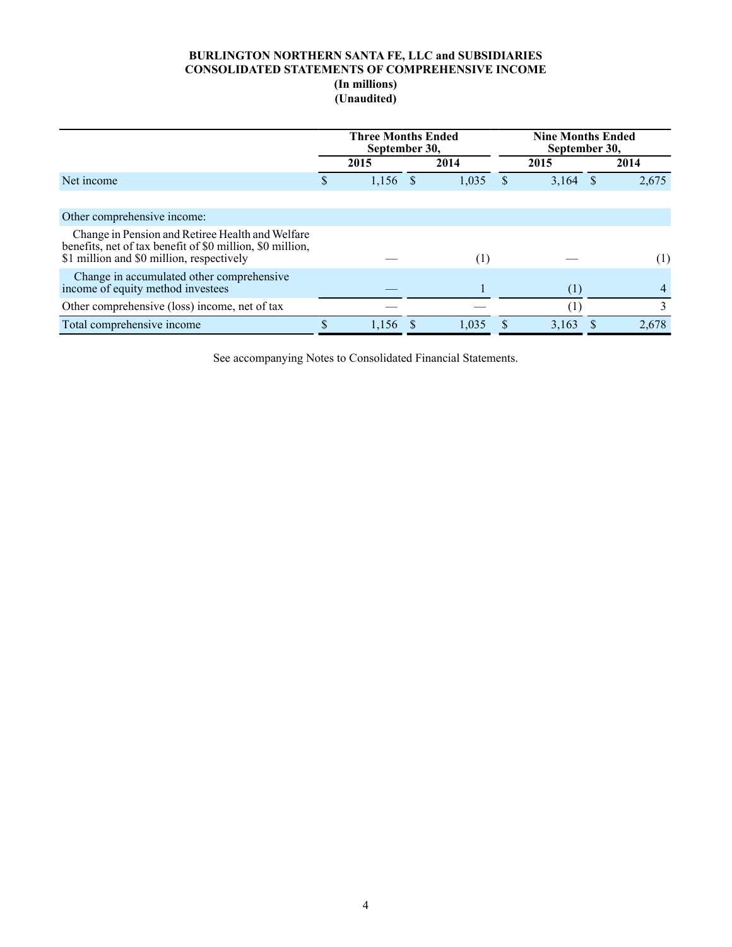# **BURLINGTON NORTHERN SANTA FE, LLC and SUBSIDIARIES CONSOLIDATED STATEMENTS OF COMPREHENSIVE INCOME (In millions) (Unaudited)**

|                                                                                                                                                            | <b>Three Months Ended</b><br>September 30, |       |  |       |   | <b>Nine Months Ended</b><br>September 30, |  |       |  |
|------------------------------------------------------------------------------------------------------------------------------------------------------------|--------------------------------------------|-------|--|-------|---|-------------------------------------------|--|-------|--|
|                                                                                                                                                            |                                            | 2015  |  | 2014  |   | 2015                                      |  | 2014  |  |
| Net income                                                                                                                                                 | S                                          | 1,156 |  | 1,035 | S | $3,164$ \$                                |  | 2,675 |  |
|                                                                                                                                                            |                                            |       |  |       |   |                                           |  |       |  |
| Other comprehensive income:                                                                                                                                |                                            |       |  |       |   |                                           |  |       |  |
| Change in Pension and Retiree Health and Welfare<br>benefits, net of tax benefit of \$0 million, \$0 million,<br>\$1 million and \$0 million, respectively |                                            |       |  | (1)   |   |                                           |  | (1)   |  |
| Change in accumulated other comprehensive<br>income of equity method investees                                                                             |                                            |       |  |       |   | (1)                                       |  |       |  |
| Other comprehensive (loss) income, net of tax                                                                                                              |                                            |       |  |       |   | (1                                        |  |       |  |
| Total comprehensive income                                                                                                                                 | \$                                         | 1.156 |  | 1.035 |   | 3,163                                     |  | 2,678 |  |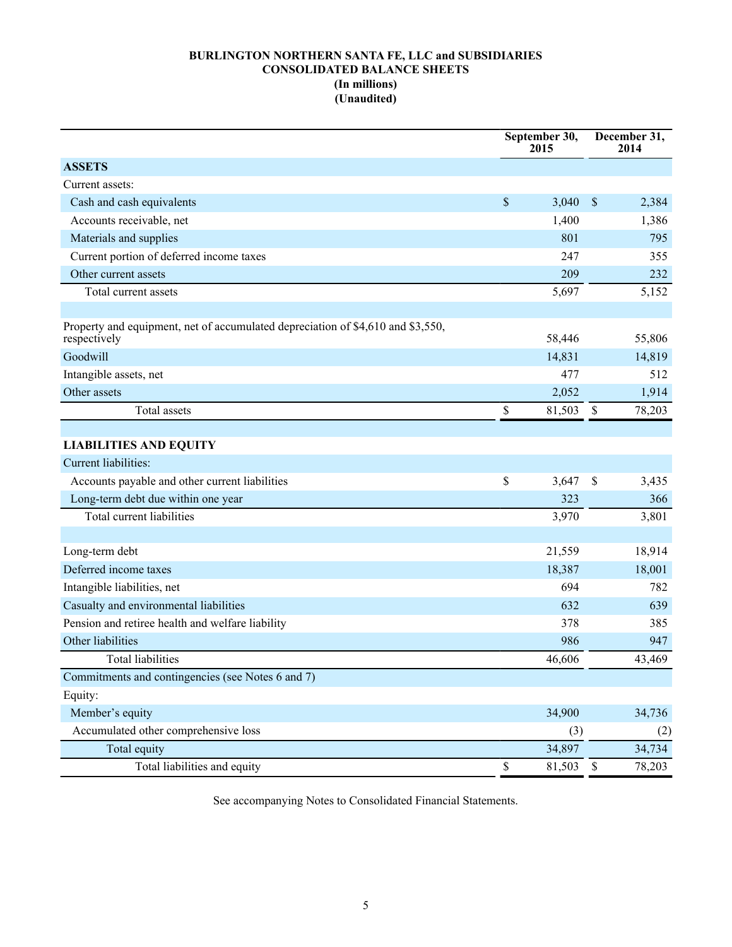# **BURLINGTON NORTHERN SANTA FE, LLC and SUBSIDIARIES CONSOLIDATED BALANCE SHEETS (In millions) (Unaudited)**

|                                                                                                 | September 30,<br>2015 |                           | December 31,<br>2014 |
|-------------------------------------------------------------------------------------------------|-----------------------|---------------------------|----------------------|
| <b>ASSETS</b>                                                                                   |                       |                           |                      |
| Current assets:                                                                                 |                       |                           |                      |
| Cash and cash equivalents                                                                       | \$<br>3,040           | $\mathbb{S}$              | 2,384                |
| Accounts receivable, net                                                                        | 1,400                 |                           | 1,386                |
| Materials and supplies                                                                          | 801                   |                           | 795                  |
| Current portion of deferred income taxes                                                        | 247                   |                           | 355                  |
| Other current assets                                                                            | 209                   |                           | 232                  |
| Total current assets                                                                            | 5,697                 |                           | 5,152                |
| Property and equipment, net of accumulated depreciation of \$4,610 and \$3,550,<br>respectively | 58,446                |                           | 55,806               |
| Goodwill                                                                                        | 14,831                |                           | 14,819               |
| Intangible assets, net                                                                          | 477                   |                           | 512                  |
| Other assets                                                                                    | 2,052                 |                           | 1,914                |
| Total assets                                                                                    | \$<br>81,503          | $\mathbb{S}$              | 78,203               |
| <b>LIABILITIES AND EQUITY</b>                                                                   |                       |                           |                      |
| Current liabilities:                                                                            |                       |                           |                      |
| Accounts payable and other current liabilities                                                  | \$<br>3,647           | \$                        | 3,435                |
| Long-term debt due within one year                                                              | 323                   |                           | 366                  |
| Total current liabilities                                                                       | 3,970                 |                           | 3,801                |
| Long-term debt                                                                                  | 21,559                |                           | 18,914               |
| Deferred income taxes                                                                           | 18,387                |                           | 18,001               |
| Intangible liabilities, net                                                                     | 694                   |                           | 782                  |
| Casualty and environmental liabilities                                                          | 632                   |                           | 639                  |
| Pension and retiree health and welfare liability                                                | 378                   |                           | 385                  |
| Other liabilities                                                                               | 986                   |                           | 947                  |
| <b>Total liabilities</b>                                                                        | 46,606                |                           | 43,469               |
| Commitments and contingencies (see Notes 6 and 7)                                               |                       |                           |                      |
| Equity:                                                                                         |                       |                           |                      |
| Member's equity                                                                                 | 34,900                |                           | 34,736               |
| Accumulated other comprehensive loss                                                            | (3)                   |                           | (2)                  |
| Total equity                                                                                    | 34,897                |                           | 34,734               |
| Total liabilities and equity                                                                    | \$<br>81,503          | $\boldsymbol{\mathsf{S}}$ | 78,203               |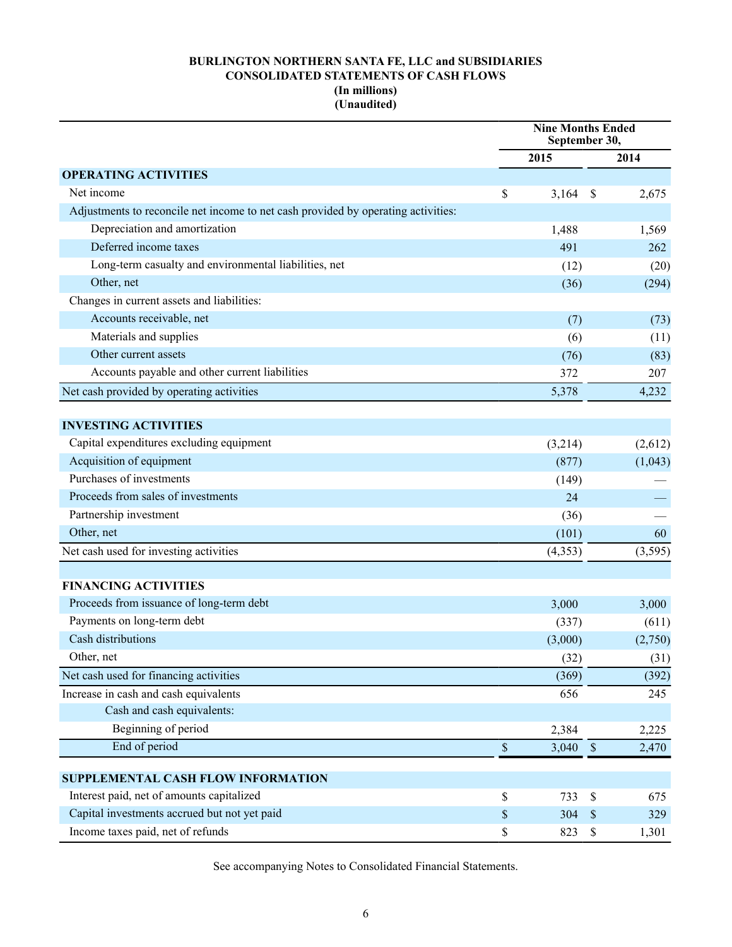# **BURLINGTON NORTHERN SANTA FE, LLC and SUBSIDIARIES CONSOLIDATED STATEMENTS OF CASH FLOWS (In millions) (Unaudited)**

| 2015<br>2014<br><b>OPERATING ACTIVITIES</b><br>Net income<br>\$<br>3,164<br><sup>\$</sup><br>2,675<br>Adjustments to reconcile net income to net cash provided by operating activities:<br>Depreciation and amortization<br>1,488<br>1,569<br>Deferred income taxes<br>491<br>262<br>Long-term casualty and environmental liabilities, net<br>(20)<br>(12)<br>Other, net<br>(36)<br>(294)<br>Changes in current assets and liabilities:<br>Accounts receivable, net<br>(7)<br>(73)<br>Materials and supplies<br>(11)<br>(6)<br>Other current assets<br>(76)<br>(83)<br>Accounts payable and other current liabilities<br>372<br>207<br>Net cash provided by operating activities<br>5,378<br>4,232<br><b>INVESTING ACTIVITIES</b><br>Capital expenditures excluding equipment<br>(3,214)<br>(2,612)<br>Acquisition of equipment<br>(1,043)<br>(877)<br>Purchases of investments<br>(149)<br>Proceeds from sales of investments<br>24<br>Partnership investment<br>(36)<br>Other, net<br>(101)<br>60<br>Net cash used for investing activities<br>(4,353)<br>(3,595)<br><b>FINANCING ACTIVITIES</b><br>Proceeds from issuance of long-term debt<br>3,000<br>3,000<br>Payments on long-term debt<br>(337)<br>(611)<br>Cash distributions<br>(3,000)<br>(2,750)<br>(32)<br>(31)<br>Other, net<br>Net cash used for financing activities<br>(369)<br>(392)<br>Increase in cash and cash equivalents<br>656<br>245<br>Cash and cash equivalents:<br>Beginning of period<br>2,384<br>2,225<br>End of period<br>$\mathbb{S}$<br>3,040<br>$\sqrt{S}$<br>2,470<br>SUPPLEMENTAL CASH FLOW INFORMATION<br>Interest paid, net of amounts capitalized<br>$\$$<br>733<br>$\boldsymbol{\mathsf{S}}$<br>675<br>Capital investments accrued but not yet paid<br>\$<br>304<br>329<br>$\boldsymbol{\mathsf{S}}$<br>Income taxes paid, net of refunds<br>\$<br>823<br>$\mathbb S$<br>1,301 |  | <b>Nine Months Ended</b><br>September 30, |  |
|------------------------------------------------------------------------------------------------------------------------------------------------------------------------------------------------------------------------------------------------------------------------------------------------------------------------------------------------------------------------------------------------------------------------------------------------------------------------------------------------------------------------------------------------------------------------------------------------------------------------------------------------------------------------------------------------------------------------------------------------------------------------------------------------------------------------------------------------------------------------------------------------------------------------------------------------------------------------------------------------------------------------------------------------------------------------------------------------------------------------------------------------------------------------------------------------------------------------------------------------------------------------------------------------------------------------------------------------------------------------------------------------------------------------------------------------------------------------------------------------------------------------------------------------------------------------------------------------------------------------------------------------------------------------------------------------------------------------------------------------------------------------------------------------------------------------------------------------------------------------|--|-------------------------------------------|--|
|                                                                                                                                                                                                                                                                                                                                                                                                                                                                                                                                                                                                                                                                                                                                                                                                                                                                                                                                                                                                                                                                                                                                                                                                                                                                                                                                                                                                                                                                                                                                                                                                                                                                                                                                                                                                                                                                        |  |                                           |  |
|                                                                                                                                                                                                                                                                                                                                                                                                                                                                                                                                                                                                                                                                                                                                                                                                                                                                                                                                                                                                                                                                                                                                                                                                                                                                                                                                                                                                                                                                                                                                                                                                                                                                                                                                                                                                                                                                        |  |                                           |  |
|                                                                                                                                                                                                                                                                                                                                                                                                                                                                                                                                                                                                                                                                                                                                                                                                                                                                                                                                                                                                                                                                                                                                                                                                                                                                                                                                                                                                                                                                                                                                                                                                                                                                                                                                                                                                                                                                        |  |                                           |  |
|                                                                                                                                                                                                                                                                                                                                                                                                                                                                                                                                                                                                                                                                                                                                                                                                                                                                                                                                                                                                                                                                                                                                                                                                                                                                                                                                                                                                                                                                                                                                                                                                                                                                                                                                                                                                                                                                        |  |                                           |  |
|                                                                                                                                                                                                                                                                                                                                                                                                                                                                                                                                                                                                                                                                                                                                                                                                                                                                                                                                                                                                                                                                                                                                                                                                                                                                                                                                                                                                                                                                                                                                                                                                                                                                                                                                                                                                                                                                        |  |                                           |  |
|                                                                                                                                                                                                                                                                                                                                                                                                                                                                                                                                                                                                                                                                                                                                                                                                                                                                                                                                                                                                                                                                                                                                                                                                                                                                                                                                                                                                                                                                                                                                                                                                                                                                                                                                                                                                                                                                        |  |                                           |  |
|                                                                                                                                                                                                                                                                                                                                                                                                                                                                                                                                                                                                                                                                                                                                                                                                                                                                                                                                                                                                                                                                                                                                                                                                                                                                                                                                                                                                                                                                                                                                                                                                                                                                                                                                                                                                                                                                        |  |                                           |  |
|                                                                                                                                                                                                                                                                                                                                                                                                                                                                                                                                                                                                                                                                                                                                                                                                                                                                                                                                                                                                                                                                                                                                                                                                                                                                                                                                                                                                                                                                                                                                                                                                                                                                                                                                                                                                                                                                        |  |                                           |  |
|                                                                                                                                                                                                                                                                                                                                                                                                                                                                                                                                                                                                                                                                                                                                                                                                                                                                                                                                                                                                                                                                                                                                                                                                                                                                                                                                                                                                                                                                                                                                                                                                                                                                                                                                                                                                                                                                        |  |                                           |  |
|                                                                                                                                                                                                                                                                                                                                                                                                                                                                                                                                                                                                                                                                                                                                                                                                                                                                                                                                                                                                                                                                                                                                                                                                                                                                                                                                                                                                                                                                                                                                                                                                                                                                                                                                                                                                                                                                        |  |                                           |  |
|                                                                                                                                                                                                                                                                                                                                                                                                                                                                                                                                                                                                                                                                                                                                                                                                                                                                                                                                                                                                                                                                                                                                                                                                                                                                                                                                                                                                                                                                                                                                                                                                                                                                                                                                                                                                                                                                        |  |                                           |  |
|                                                                                                                                                                                                                                                                                                                                                                                                                                                                                                                                                                                                                                                                                                                                                                                                                                                                                                                                                                                                                                                                                                                                                                                                                                                                                                                                                                                                                                                                                                                                                                                                                                                                                                                                                                                                                                                                        |  |                                           |  |
|                                                                                                                                                                                                                                                                                                                                                                                                                                                                                                                                                                                                                                                                                                                                                                                                                                                                                                                                                                                                                                                                                                                                                                                                                                                                                                                                                                                                                                                                                                                                                                                                                                                                                                                                                                                                                                                                        |  |                                           |  |
|                                                                                                                                                                                                                                                                                                                                                                                                                                                                                                                                                                                                                                                                                                                                                                                                                                                                                                                                                                                                                                                                                                                                                                                                                                                                                                                                                                                                                                                                                                                                                                                                                                                                                                                                                                                                                                                                        |  |                                           |  |
|                                                                                                                                                                                                                                                                                                                                                                                                                                                                                                                                                                                                                                                                                                                                                                                                                                                                                                                                                                                                                                                                                                                                                                                                                                                                                                                                                                                                                                                                                                                                                                                                                                                                                                                                                                                                                                                                        |  |                                           |  |
|                                                                                                                                                                                                                                                                                                                                                                                                                                                                                                                                                                                                                                                                                                                                                                                                                                                                                                                                                                                                                                                                                                                                                                                                                                                                                                                                                                                                                                                                                                                                                                                                                                                                                                                                                                                                                                                                        |  |                                           |  |
|                                                                                                                                                                                                                                                                                                                                                                                                                                                                                                                                                                                                                                                                                                                                                                                                                                                                                                                                                                                                                                                                                                                                                                                                                                                                                                                                                                                                                                                                                                                                                                                                                                                                                                                                                                                                                                                                        |  |                                           |  |
|                                                                                                                                                                                                                                                                                                                                                                                                                                                                                                                                                                                                                                                                                                                                                                                                                                                                                                                                                                                                                                                                                                                                                                                                                                                                                                                                                                                                                                                                                                                                                                                                                                                                                                                                                                                                                                                                        |  |                                           |  |
|                                                                                                                                                                                                                                                                                                                                                                                                                                                                                                                                                                                                                                                                                                                                                                                                                                                                                                                                                                                                                                                                                                                                                                                                                                                                                                                                                                                                                                                                                                                                                                                                                                                                                                                                                                                                                                                                        |  |                                           |  |
|                                                                                                                                                                                                                                                                                                                                                                                                                                                                                                                                                                                                                                                                                                                                                                                                                                                                                                                                                                                                                                                                                                                                                                                                                                                                                                                                                                                                                                                                                                                                                                                                                                                                                                                                                                                                                                                                        |  |                                           |  |
|                                                                                                                                                                                                                                                                                                                                                                                                                                                                                                                                                                                                                                                                                                                                                                                                                                                                                                                                                                                                                                                                                                                                                                                                                                                                                                                                                                                                                                                                                                                                                                                                                                                                                                                                                                                                                                                                        |  |                                           |  |
|                                                                                                                                                                                                                                                                                                                                                                                                                                                                                                                                                                                                                                                                                                                                                                                                                                                                                                                                                                                                                                                                                                                                                                                                                                                                                                                                                                                                                                                                                                                                                                                                                                                                                                                                                                                                                                                                        |  |                                           |  |
|                                                                                                                                                                                                                                                                                                                                                                                                                                                                                                                                                                                                                                                                                                                                                                                                                                                                                                                                                                                                                                                                                                                                                                                                                                                                                                                                                                                                                                                                                                                                                                                                                                                                                                                                                                                                                                                                        |  |                                           |  |
|                                                                                                                                                                                                                                                                                                                                                                                                                                                                                                                                                                                                                                                                                                                                                                                                                                                                                                                                                                                                                                                                                                                                                                                                                                                                                                                                                                                                                                                                                                                                                                                                                                                                                                                                                                                                                                                                        |  |                                           |  |
|                                                                                                                                                                                                                                                                                                                                                                                                                                                                                                                                                                                                                                                                                                                                                                                                                                                                                                                                                                                                                                                                                                                                                                                                                                                                                                                                                                                                                                                                                                                                                                                                                                                                                                                                                                                                                                                                        |  |                                           |  |
|                                                                                                                                                                                                                                                                                                                                                                                                                                                                                                                                                                                                                                                                                                                                                                                                                                                                                                                                                                                                                                                                                                                                                                                                                                                                                                                                                                                                                                                                                                                                                                                                                                                                                                                                                                                                                                                                        |  |                                           |  |
|                                                                                                                                                                                                                                                                                                                                                                                                                                                                                                                                                                                                                                                                                                                                                                                                                                                                                                                                                                                                                                                                                                                                                                                                                                                                                                                                                                                                                                                                                                                                                                                                                                                                                                                                                                                                                                                                        |  |                                           |  |
|                                                                                                                                                                                                                                                                                                                                                                                                                                                                                                                                                                                                                                                                                                                                                                                                                                                                                                                                                                                                                                                                                                                                                                                                                                                                                                                                                                                                                                                                                                                                                                                                                                                                                                                                                                                                                                                                        |  |                                           |  |
|                                                                                                                                                                                                                                                                                                                                                                                                                                                                                                                                                                                                                                                                                                                                                                                                                                                                                                                                                                                                                                                                                                                                                                                                                                                                                                                                                                                                                                                                                                                                                                                                                                                                                                                                                                                                                                                                        |  |                                           |  |
|                                                                                                                                                                                                                                                                                                                                                                                                                                                                                                                                                                                                                                                                                                                                                                                                                                                                                                                                                                                                                                                                                                                                                                                                                                                                                                                                                                                                                                                                                                                                                                                                                                                                                                                                                                                                                                                                        |  |                                           |  |
|                                                                                                                                                                                                                                                                                                                                                                                                                                                                                                                                                                                                                                                                                                                                                                                                                                                                                                                                                                                                                                                                                                                                                                                                                                                                                                                                                                                                                                                                                                                                                                                                                                                                                                                                                                                                                                                                        |  |                                           |  |
|                                                                                                                                                                                                                                                                                                                                                                                                                                                                                                                                                                                                                                                                                                                                                                                                                                                                                                                                                                                                                                                                                                                                                                                                                                                                                                                                                                                                                                                                                                                                                                                                                                                                                                                                                                                                                                                                        |  |                                           |  |
|                                                                                                                                                                                                                                                                                                                                                                                                                                                                                                                                                                                                                                                                                                                                                                                                                                                                                                                                                                                                                                                                                                                                                                                                                                                                                                                                                                                                                                                                                                                                                                                                                                                                                                                                                                                                                                                                        |  |                                           |  |
|                                                                                                                                                                                                                                                                                                                                                                                                                                                                                                                                                                                                                                                                                                                                                                                                                                                                                                                                                                                                                                                                                                                                                                                                                                                                                                                                                                                                                                                                                                                                                                                                                                                                                                                                                                                                                                                                        |  |                                           |  |
|                                                                                                                                                                                                                                                                                                                                                                                                                                                                                                                                                                                                                                                                                                                                                                                                                                                                                                                                                                                                                                                                                                                                                                                                                                                                                                                                                                                                                                                                                                                                                                                                                                                                                                                                                                                                                                                                        |  |                                           |  |
|                                                                                                                                                                                                                                                                                                                                                                                                                                                                                                                                                                                                                                                                                                                                                                                                                                                                                                                                                                                                                                                                                                                                                                                                                                                                                                                                                                                                                                                                                                                                                                                                                                                                                                                                                                                                                                                                        |  |                                           |  |
|                                                                                                                                                                                                                                                                                                                                                                                                                                                                                                                                                                                                                                                                                                                                                                                                                                                                                                                                                                                                                                                                                                                                                                                                                                                                                                                                                                                                                                                                                                                                                                                                                                                                                                                                                                                                                                                                        |  |                                           |  |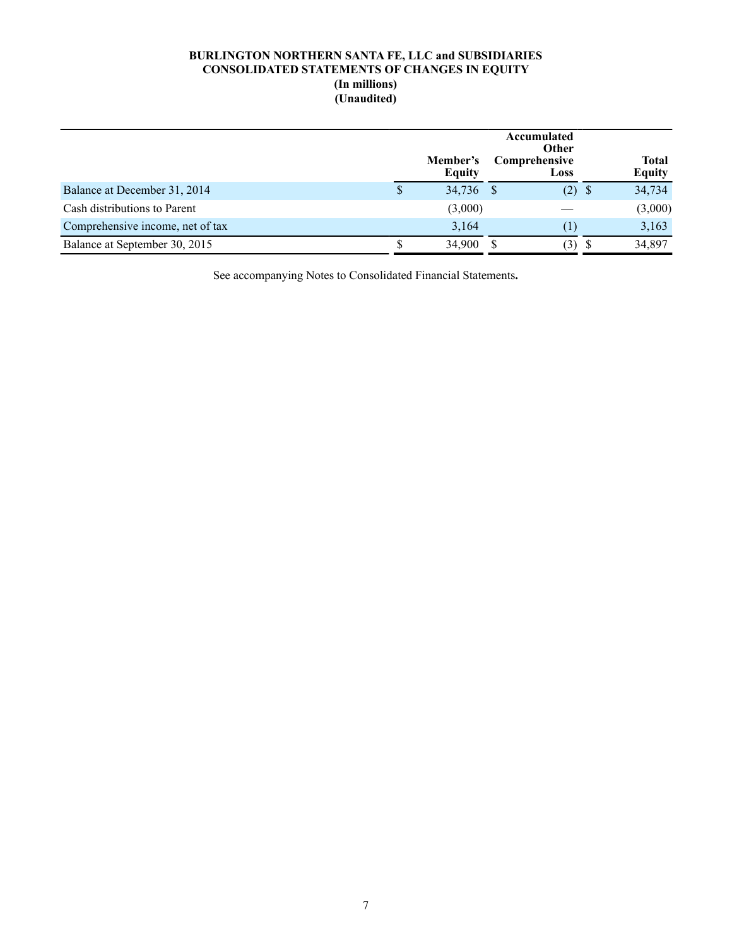# **BURLINGTON NORTHERN SANTA FE, LLC and SUBSIDIARIES CONSOLIDATED STATEMENTS OF CHANGES IN EQUITY (In millions) (Unaudited)**

|                                  |   | Member's<br>Equity | Accumulated<br><b>Other</b><br><b>Comprehensive</b><br>Loss |    | <b>Total</b><br><b>Equity</b> |
|----------------------------------|---|--------------------|-------------------------------------------------------------|----|-------------------------------|
| Balance at December 31, 2014     | S | 34,736 \$          | (2)                                                         | -S | 34,734                        |
| Cash distributions to Parent     |   | (3,000)            |                                                             |    | (3,000)                       |
| Comprehensive income, net of tax |   | 3,164              | $\left( 1\right)$                                           |    | 3,163                         |
| Balance at September 30, 2015    |   | 34,900             | (3)                                                         |    | 34,897                        |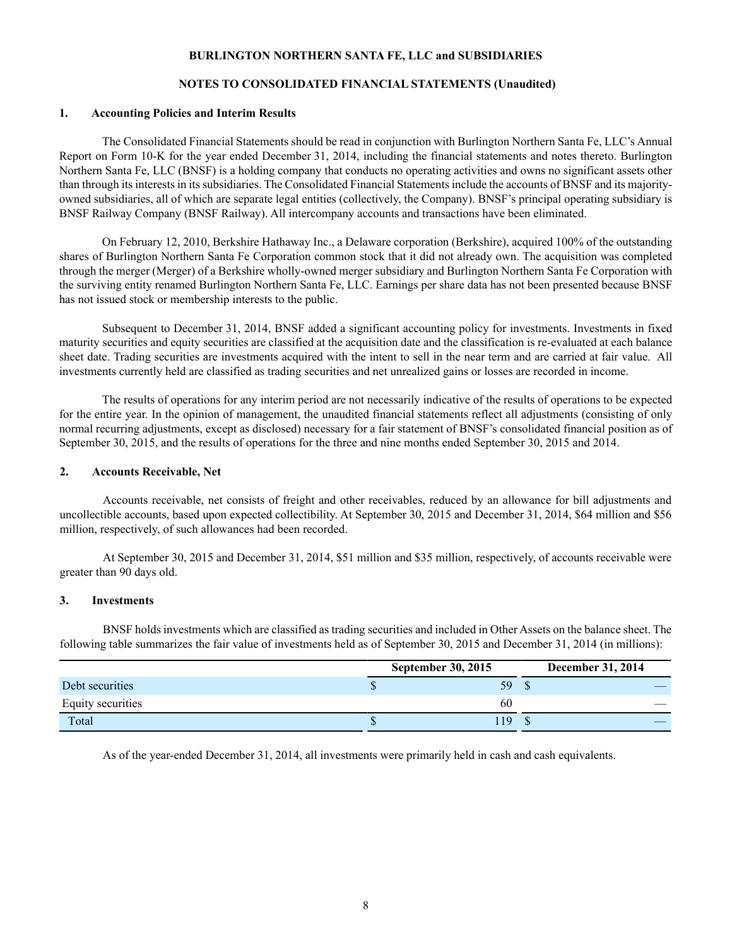# **NOTES TO CONSOLIDATED FINANCIAL STATEMENTS (Unaudited)**

#### **1. Accounting Policies and Interim Results**

The Consolidated Financial Statements should be read in conjunction with Burlington Northern Santa Fe, LLC's Annual Report on Form 10-K for the year ended December 31, 2014, including the financial statements and notes thereto. Burlington Northern Santa Fe, LLC (BNSF) is a holding company that conducts no operating activities and owns no significant assets other than through its interests in its subsidiaries. The Consolidated Financial Statements include the accounts of BNSF and its majorityowned subsidiaries, all of which are separate legal entities (collectively, the Company). BNSF's principal operating subsidiary is BNSF Railway Company (BNSF Railway). All intercompany accounts and transactions have been eliminated.

On February 12, 2010, Berkshire Hathaway Inc., a Delaware corporation (Berkshire), acquired 100% of the outstanding shares of Burlington Northern Santa Fe Corporation common stock that it did not already own. The acquisition was completed through the merger (Merger) of a Berkshire wholly-owned merger subsidiary and Burlington Northern Santa Fe Corporation with the surviving entity renamed Burlington Northern Santa Fe, LLC. Earnings per share data has not been presented because BNSF has not issued stock or membership interests to the public.

Subsequent to December 31, 2014, BNSF added a significant accounting policy for investments. Investments in fixed maturity securities and equity securities are classified at the acquisition date and the classification is re-evaluated at each balance sheet date. Trading securities are investments acquired with the intent to sell in the near term and are carried at fair value. All investments currently held are classified as trading securities and net unrealized gains or losses are recorded in income.

The results of operations for any interim period are not necessarily indicative of the results of operations to be expected for the entire year. In the opinion of management, the unaudited financial statements reflect all adjustments (consisting of only normal recurring adjustments, except as disclosed) necessary for a fair statement of BNSF's consolidated financial position as of September 30, 2015, and the results of operations for the three and nine months ended September 30, 2015 and 2014.

## **2. Accounts Receivable, Net**

Accounts receivable, net consists of freight and other receivables, reduced by an allowance for bill adjustments and uncollectible accounts, based upon expected collectibility. At September 30, 2015 and December 31, 2014, \$64 million and \$56 million, respectively, of such allowances had been recorded.

At September 30, 2015 and December 31, 2014, \$51 million and \$35 million, respectively, of accounts receivable were greater than 90 days old.

#### **3. Investments**

BNSF holds investments which are classified as trading securities and included in Other Assets on the balance sheet. The following table summarizes the fair value of investments held as of September 30, 2015 and December 31, 2014 (in millions):

|                   | <b>September 30, 2015</b> |    | December 31, 2014 |
|-------------------|---------------------------|----|-------------------|
| Debt securities   |                           | 59 |                   |
| Equity securities |                           | 60 |                   |
| Total             |                           | 19 |                   |

As of the year-ended December 31, 2014, all investments were primarily held in cash and cash equivalents.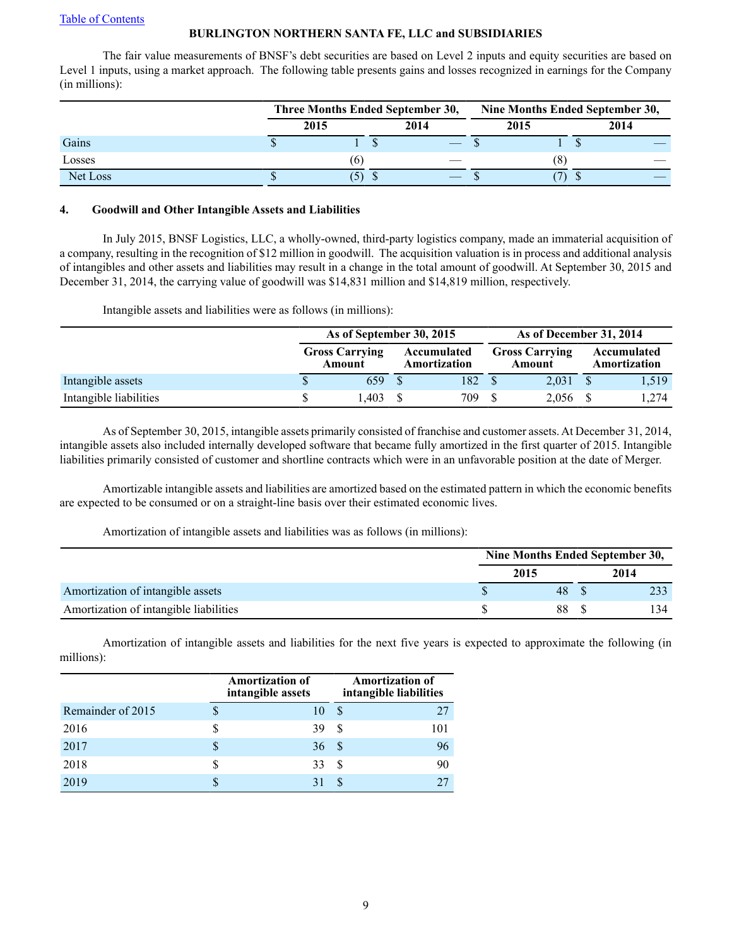The fair value measurements of BNSF's debt securities are based on Level 2 inputs and equity securities are based on Level 1 inputs, using a market approach. The following table presents gains and losses recognized in earnings for the Company (in millions):

|          | Three Months Ended September 30, |  | Nine Months Ended September 30, |      |  |      |  |
|----------|----------------------------------|--|---------------------------------|------|--|------|--|
|          | 2015                             |  | 2014                            | 2015 |  | 2014 |  |
| Gains    |                                  |  |                                 |      |  |      |  |
| Losses   | (6)                              |  |                                 | (8)  |  |      |  |
| Net Loss |                                  |  |                                 |      |  |      |  |

## **4. Goodwill and Other Intangible Assets and Liabilities**

In July 2015, BNSF Logistics, LLC, a wholly-owned, third-party logistics company, made an immaterial acquisition of a company, resulting in the recognition of \$12 million in goodwill. The acquisition valuation is in process and additional analysis of intangibles and other assets and liabilities may result in a change in the total amount of goodwill. At September 30, 2015 and December 31, 2014, the carrying value of goodwill was \$14,831 million and \$14,819 million, respectively.

Intangible assets and liabilities were as follows (in millions):

|                        | As of September 30, 2015 |                                 |                                                                |     |  | As of December 31, 2014 |                             |       |  |  |
|------------------------|--------------------------|---------------------------------|----------------------------------------------------------------|-----|--|-------------------------|-----------------------------|-------|--|--|
|                        |                          | <b>Gross Carrying</b><br>Amount | <b>Gross Carrying</b><br>Accumulated<br>Amortization<br>Amount |     |  |                         | Accumulated<br>Amortization |       |  |  |
| Intangible assets      |                          | 659                             |                                                                | 182 |  | 2,031                   |                             | 1,519 |  |  |
| Intangible liabilities |                          | .403                            |                                                                | 709 |  | 2,056                   |                             | 1.274 |  |  |

As of September 30, 2015, intangible assets primarily consisted of franchise and customer assets. At December 31, 2014, intangible assets also included internally developed software that became fully amortized in the first quarter of 2015. Intangible liabilities primarily consisted of customer and shortline contracts which were in an unfavorable position at the date of Merger.

Amortizable intangible assets and liabilities are amortized based on the estimated pattern in which the economic benefits are expected to be consumed or on a straight-line basis over their estimated economic lives.

Amortization of intangible assets and liabilities was as follows (in millions):

|                                        | Nine Months Ended September 30, |  |      |  |  |  |  |  |
|----------------------------------------|---------------------------------|--|------|--|--|--|--|--|
|                                        | 2015                            |  | 2014 |  |  |  |  |  |
| Amortization of intangible assets      | 48                              |  |      |  |  |  |  |  |
| Amortization of intangible liabilities | 88 S                            |  | 134  |  |  |  |  |  |

Amortization of intangible assets and liabilities for the next five years is expected to approximate the following (in millions):

|                   |   | <b>Amortization of</b><br>intangible assets |               | <b>Amortization of</b><br>intangible liabilities |
|-------------------|---|---------------------------------------------|---------------|--------------------------------------------------|
| Remainder of 2015 | S | 10                                          | <sup>\$</sup> |                                                  |
| 2016              |   | 39                                          | S.            | 101                                              |
| 2017              |   | 36                                          | - \$          | 96                                               |
| 2018              | S | 33                                          | \$.           | 90                                               |
| 2019              |   |                                             |               |                                                  |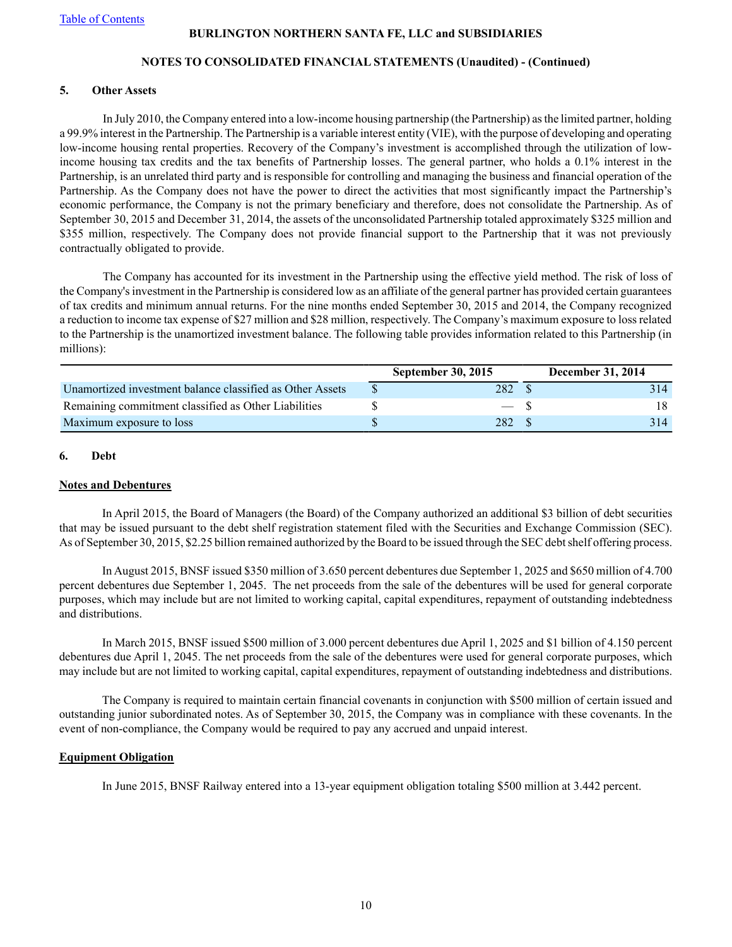# **NOTES TO CONSOLIDATED FINANCIAL STATEMENTS (Unaudited) - (Continued)**

## **5. Other Assets**

In July 2010, the Company entered into a low-income housing partnership (the Partnership) as the limited partner, holding a 99.9% interest in the Partnership. The Partnership is a variable interest entity (VIE), with the purpose of developing and operating low-income housing rental properties. Recovery of the Company's investment is accomplished through the utilization of lowincome housing tax credits and the tax benefits of Partnership losses. The general partner, who holds a 0.1% interest in the Partnership, is an unrelated third party and is responsible for controlling and managing the business and financial operation of the Partnership. As the Company does not have the power to direct the activities that most significantly impact the Partnership's economic performance, the Company is not the primary beneficiary and therefore, does not consolidate the Partnership. As of September 30, 2015 and December 31, 2014, the assets of the unconsolidated Partnership totaled approximately \$325 million and \$355 million, respectively. The Company does not provide financial support to the Partnership that it was not previously contractually obligated to provide.

The Company has accounted for its investment in the Partnership using the effective yield method. The risk of loss of the Company's investment in the Partnership is considered low as an affiliate of the general partner has provided certain guarantees of tax credits and minimum annual returns. For the nine months ended September 30, 2015 and 2014, the Company recognized a reduction to income tax expense of \$27 million and \$28 million, respectively. The Company's maximum exposure to loss related to the Partnership is the unamortized investment balance. The following table provides information related to this Partnership (in millions):

|                                                           | <b>September 30, 2015</b> | <b>December 31, 2014</b> |
|-----------------------------------------------------------|---------------------------|--------------------------|
| Unamortized investment balance classified as Other Assets | 282                       |                          |
| Remaining commitment classified as Other Liabilities      | $ \mathbf{5}$             | 18                       |
| Maximum exposure to loss                                  | 282 \$                    | 314                      |

#### **6. Debt**

#### **Notes and Debentures**

In April 2015, the Board of Managers (the Board) of the Company authorized an additional \$3 billion of debt securities that may be issued pursuant to the debt shelf registration statement filed with the Securities and Exchange Commission (SEC). As of September 30, 2015, \$2.25 billion remained authorized by the Board to be issued through the SEC debt shelf offering process.

In August 2015, BNSF issued \$350 million of 3.650 percent debentures due September 1, 2025 and \$650 million of 4.700 percent debentures due September 1, 2045. The net proceeds from the sale of the debentures will be used for general corporate purposes, which may include but are not limited to working capital, capital expenditures, repayment of outstanding indebtedness and distributions.

In March 2015, BNSF issued \$500 million of 3.000 percent debentures due April 1, 2025 and \$1 billion of 4.150 percent debentures due April 1, 2045. The net proceeds from the sale of the debentures were used for general corporate purposes, which may include but are not limited to working capital, capital expenditures, repayment of outstanding indebtedness and distributions.

The Company is required to maintain certain financial covenants in conjunction with \$500 million of certain issued and outstanding junior subordinated notes. As of September 30, 2015, the Company was in compliance with these covenants. In the event of non-compliance, the Company would be required to pay any accrued and unpaid interest.

# **Equipment Obligation**

In June 2015, BNSF Railway entered into a 13-year equipment obligation totaling \$500 million at 3.442 percent.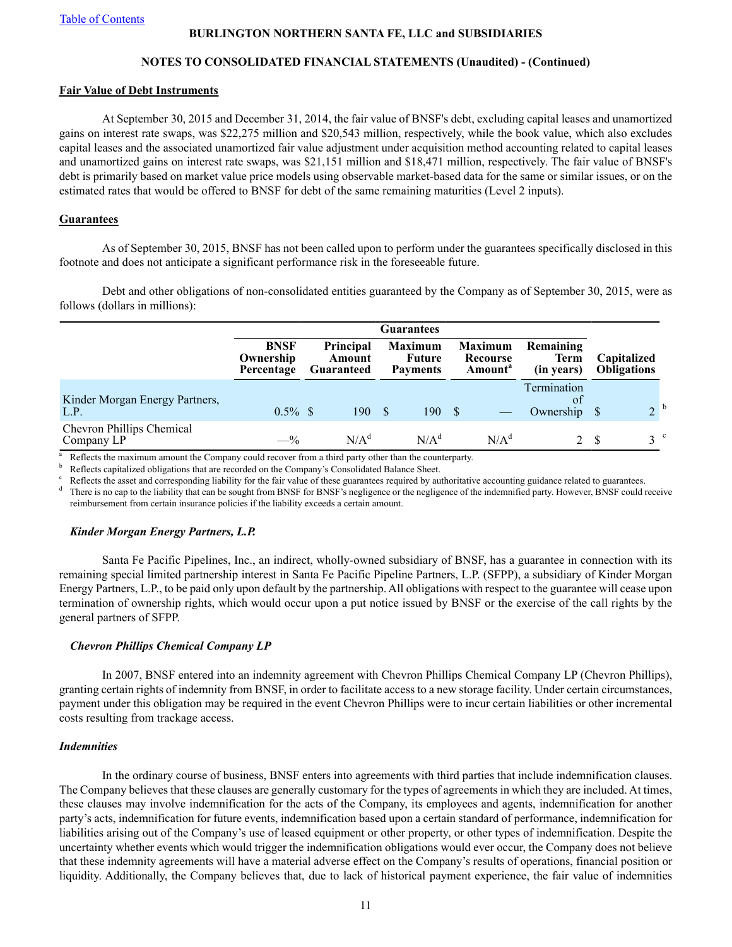## **NOTES TO CONSOLIDATED FINANCIAL STATEMENTS (Unaudited) - (Continued)**

#### **Fair Value of Debt Instruments**

At September 30, 2015 and December 31, 2014, the fair value of BNSF's debt, excluding capital leases and unamortized gains on interest rate swaps, was \$22,275 million and \$20,543 million, respectively, while the book value, which also excludes capital leases and the associated unamortized fair value adjustment under acquisition method accounting related to capital leases and unamortized gains on interest rate swaps, was \$21,151 million and \$18,471 million, respectively. The fair value of BNSF's debt is primarily based on market value price models using observable market-based data for the same or similar issues, or on the estimated rates that would be offered to BNSF for debt of the same remaining maturities (Level 2 inputs).

#### **Guarantees**

As of September 30, 2015, BNSF has not been called upon to perform under the guarantees specifically disclosed in this footnote and does not anticipate a significant performance risk in the foreseeable future.

Debt and other obligations of non-consolidated entities guaranteed by the Company as of September 30, 2015, were as follows (dollars in millions):

| <b>Guarantees</b>                       |                                        |                                          |                                                    |                                                   |                                              |                                   |
|-----------------------------------------|----------------------------------------|------------------------------------------|----------------------------------------------------|---------------------------------------------------|----------------------------------------------|-----------------------------------|
|                                         | <b>BNSF</b><br>Ownership<br>Percentage | <b>Principal</b><br>Amount<br>Guaranteed | <b>Maximum</b><br><b>Future</b><br><b>Payments</b> | <b>Maximum</b><br>Recourse<br>Amount <sup>a</sup> | Remaining<br><b>Term</b><br>(in years)       | Capitalized<br><b>Obligations</b> |
| Kinder Morgan Energy Partners,<br>L.P.  | $0.5\%$ \$                             | 190S                                     | 190                                                |                                                   | Termination<br><sup>ot</sup><br>Ownership \$ | 2 <sup>b</sup>                    |
| Chevron Phillips Chemical<br>Company LP | $-$ %                                  | N/A <sup>d</sup>                         | N/A <sup>d</sup>                                   | N/A <sup>d</sup>                                  |                                              | $2^{\circ}$<br>2 S                |

<sup>a</sup> Reflects the maximum amount the Company could recover from a third party other than the counterparty.

<sup>b</sup>Reflects capitalized obligations that are recorded on the Company's Consolidated Balance Sheet.

Reflects the asset and corresponding liability for the fair value of these guarantees required by authoritative accounting guidance related to guarantees.

There is no cap to the liability that can be sought from BNSF for BNSF's negligence or the negligence of the indemnified party. However, BNSF could receive reimbursement from certain insurance policies if the liability exceeds a certain amount.

#### *Kinder Morgan Energy Partners, L.P.*

Santa Fe Pacific Pipelines, Inc., an indirect, wholly-owned subsidiary of BNSF, has a guarantee in connection with its remaining special limited partnership interest in Santa Fe Pacific Pipeline Partners, L.P. (SFPP), a subsidiary of Kinder Morgan Energy Partners, L.P., to be paid only upon default by the partnership. All obligations with respect to the guarantee will cease upon termination of ownership rights, which would occur upon a put notice issued by BNSF or the exercise of the call rights by the general partners of SFPP.

# *Chevron Phillips Chemical Company LP*

In 2007, BNSF entered into an indemnity agreement with Chevron Phillips Chemical Company LP (Chevron Phillips), granting certain rights of indemnity from BNSF, in order to facilitate access to a new storage facility. Under certain circumstances, payment under this obligation may be required in the event Chevron Phillips were to incur certain liabilities or other incremental costs resulting from trackage access.

#### *Indemnities*

In the ordinary course of business, BNSF enters into agreements with third parties that include indemnification clauses. The Company believes that these clauses are generally customary for the types of agreements in which they are included. At times, these clauses may involve indemnification for the acts of the Company, its employees and agents, indemnification for another party's acts, indemnification for future events, indemnification based upon a certain standard of performance, indemnification for liabilities arising out of the Company's use of leased equipment or other property, or other types of indemnification. Despite the uncertainty whether events which would trigger the indemnification obligations would ever occur, the Company does not believe that these indemnity agreements will have a material adverse effect on the Company's results of operations, financial position or liquidity. Additionally, the Company believes that, due to lack of historical payment experience, the fair value of indemnities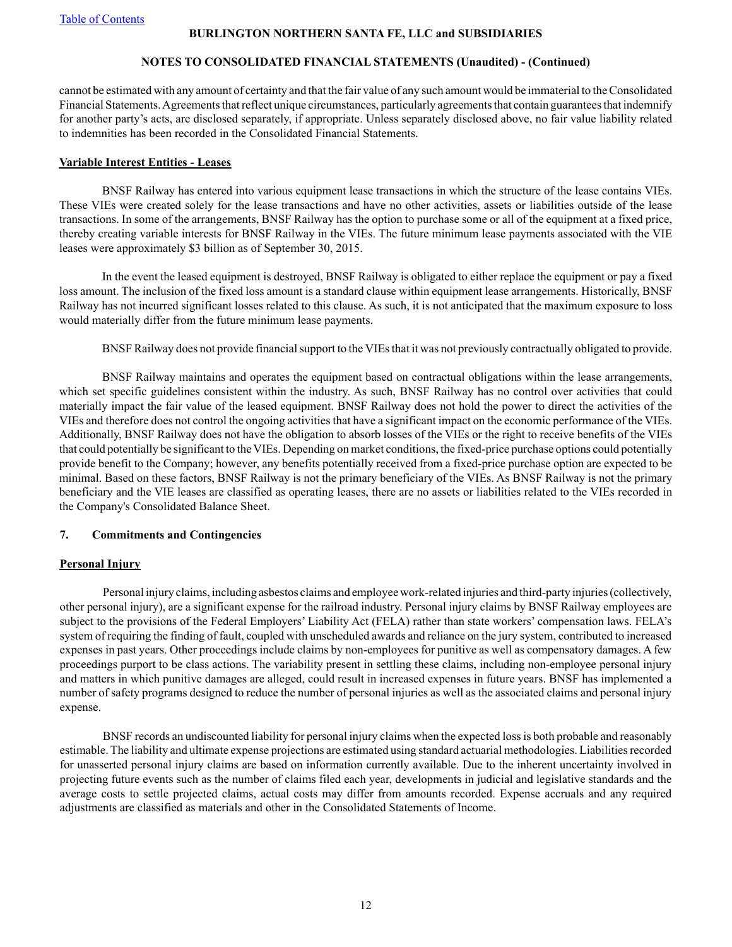## **NOTES TO CONSOLIDATED FINANCIAL STATEMENTS (Unaudited) - (Continued)**

cannot be estimated with any amount of certainty and that the fair value of any such amount would be immaterial to the Consolidated Financial Statements. Agreements that reflect unique circumstances, particularly agreements that contain guarantees that indemnify for another party's acts, are disclosed separately, if appropriate. Unless separately disclosed above, no fair value liability related to indemnities has been recorded in the Consolidated Financial Statements.

#### **Variable Interest Entities - Leases**

BNSF Railway has entered into various equipment lease transactions in which the structure of the lease contains VIEs. These VIEs were created solely for the lease transactions and have no other activities, assets or liabilities outside of the lease transactions. In some of the arrangements, BNSF Railway has the option to purchase some or all of the equipment at a fixed price, thereby creating variable interests for BNSF Railway in the VIEs. The future minimum lease payments associated with the VIE leases were approximately \$3 billion as of September 30, 2015.

In the event the leased equipment is destroyed, BNSF Railway is obligated to either replace the equipment or pay a fixed loss amount. The inclusion of the fixed loss amount is a standard clause within equipment lease arrangements. Historically, BNSF Railway has not incurred significant losses related to this clause. As such, it is not anticipated that the maximum exposure to loss would materially differ from the future minimum lease payments.

BNSF Railway does not provide financial support to the VIEs that it was not previously contractually obligated to provide.

BNSF Railway maintains and operates the equipment based on contractual obligations within the lease arrangements, which set specific guidelines consistent within the industry. As such, BNSF Railway has no control over activities that could materially impact the fair value of the leased equipment. BNSF Railway does not hold the power to direct the activities of the VIEs and therefore does not control the ongoing activities that have a significant impact on the economic performance of the VIEs. Additionally, BNSF Railway does not have the obligation to absorb losses of the VIEs or the right to receive benefits of the VIEs that could potentially be significant to the VIEs. Depending on market conditions, the fixed-price purchase options could potentially provide benefit to the Company; however, any benefits potentially received from a fixed-price purchase option are expected to be minimal. Based on these factors, BNSF Railway is not the primary beneficiary of the VIEs. As BNSF Railway is not the primary beneficiary and the VIE leases are classified as operating leases, there are no assets or liabilities related to the VIEs recorded in the Company's Consolidated Balance Sheet.

#### **7. Commitments and Contingencies**

#### **Personal Injury**

Personal injury claims, including asbestos claims and employee work-related injuries and third-party injuries (collectively, other personal injury), are a significant expense for the railroad industry. Personal injury claims by BNSF Railway employees are subject to the provisions of the Federal Employers' Liability Act (FELA) rather than state workers' compensation laws. FELA's system of requiring the finding of fault, coupled with unscheduled awards and reliance on the jury system, contributed to increased expenses in past years. Other proceedings include claims by non-employees for punitive as well as compensatory damages. A few proceedings purport to be class actions. The variability present in settling these claims, including non-employee personal injury and matters in which punitive damages are alleged, could result in increased expenses in future years. BNSF has implemented a number of safety programs designed to reduce the number of personal injuries as well as the associated claims and personal injury expense.

BNSF records an undiscounted liability for personal injury claims when the expected loss is both probable and reasonably estimable. The liability and ultimate expense projections are estimated using standard actuarial methodologies. Liabilities recorded for unasserted personal injury claims are based on information currently available. Due to the inherent uncertainty involved in projecting future events such as the number of claims filed each year, developments in judicial and legislative standards and the average costs to settle projected claims, actual costs may differ from amounts recorded. Expense accruals and any required adjustments are classified as materials and other in the Consolidated Statements of Income.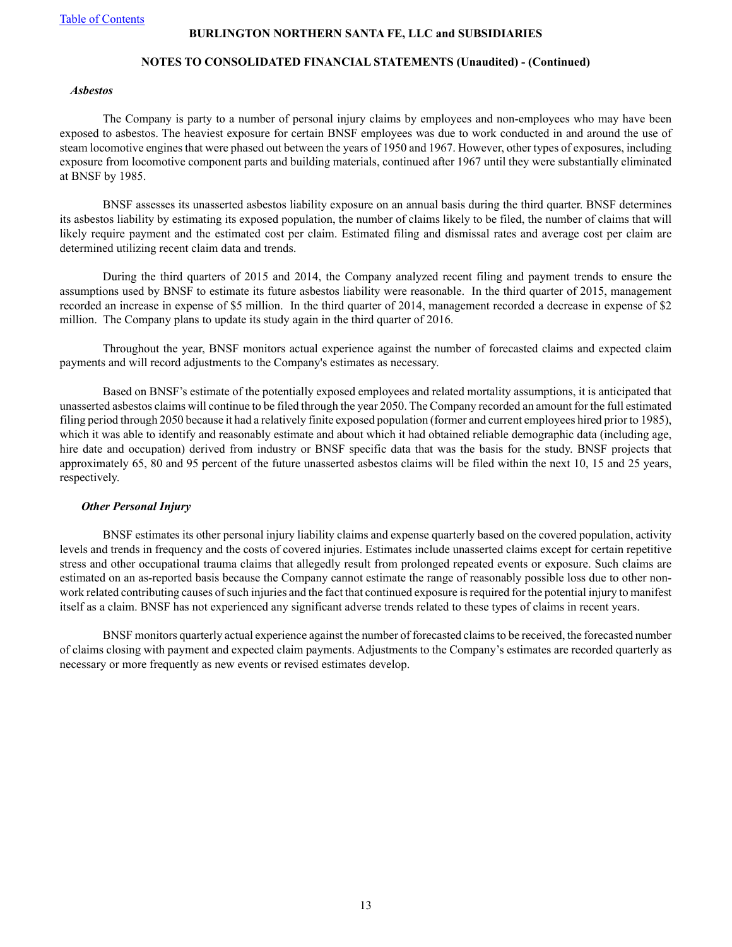## **NOTES TO CONSOLIDATED FINANCIAL STATEMENTS (Unaudited) - (Continued)**

#### *Asbestos*

The Company is party to a number of personal injury claims by employees and non-employees who may have been exposed to asbestos. The heaviest exposure for certain BNSF employees was due to work conducted in and around the use of steam locomotive engines that were phased out between the years of 1950 and 1967. However, other types of exposures, including exposure from locomotive component parts and building materials, continued after 1967 until they were substantially eliminated at BNSF by 1985.

BNSF assesses its unasserted asbestos liability exposure on an annual basis during the third quarter. BNSF determines its asbestos liability by estimating its exposed population, the number of claims likely to be filed, the number of claims that will likely require payment and the estimated cost per claim. Estimated filing and dismissal rates and average cost per claim are determined utilizing recent claim data and trends.

During the third quarters of 2015 and 2014, the Company analyzed recent filing and payment trends to ensure the assumptions used by BNSF to estimate its future asbestos liability were reasonable. In the third quarter of 2015, management recorded an increase in expense of \$5 million. In the third quarter of 2014, management recorded a decrease in expense of \$2 million. The Company plans to update its study again in the third quarter of 2016.

Throughout the year, BNSF monitors actual experience against the number of forecasted claims and expected claim payments and will record adjustments to the Company's estimates as necessary.

Based on BNSF's estimate of the potentially exposed employees and related mortality assumptions, it is anticipated that unasserted asbestos claims will continue to be filed through the year 2050. The Company recorded an amount for the full estimated filing period through 2050 because it had a relatively finite exposed population (former and current employees hired prior to 1985), which it was able to identify and reasonably estimate and about which it had obtained reliable demographic data (including age, hire date and occupation) derived from industry or BNSF specific data that was the basis for the study. BNSF projects that approximately 65, 80 and 95 percent of the future unasserted asbestos claims will be filed within the next 10, 15 and 25 years, respectively.

#### *Other Personal Injury*

BNSF estimates its other personal injury liability claims and expense quarterly based on the covered population, activity levels and trends in frequency and the costs of covered injuries. Estimates include unasserted claims except for certain repetitive stress and other occupational trauma claims that allegedly result from prolonged repeated events or exposure. Such claims are estimated on an as-reported basis because the Company cannot estimate the range of reasonably possible loss due to other nonwork related contributing causes of such injuries and the fact that continued exposure is required for the potential injury to manifest itself as a claim. BNSF has not experienced any significant adverse trends related to these types of claims in recent years.

BNSF monitors quarterly actual experience against the number of forecasted claims to be received, the forecasted number of claims closing with payment and expected claim payments. Adjustments to the Company's estimates are recorded quarterly as necessary or more frequently as new events or revised estimates develop.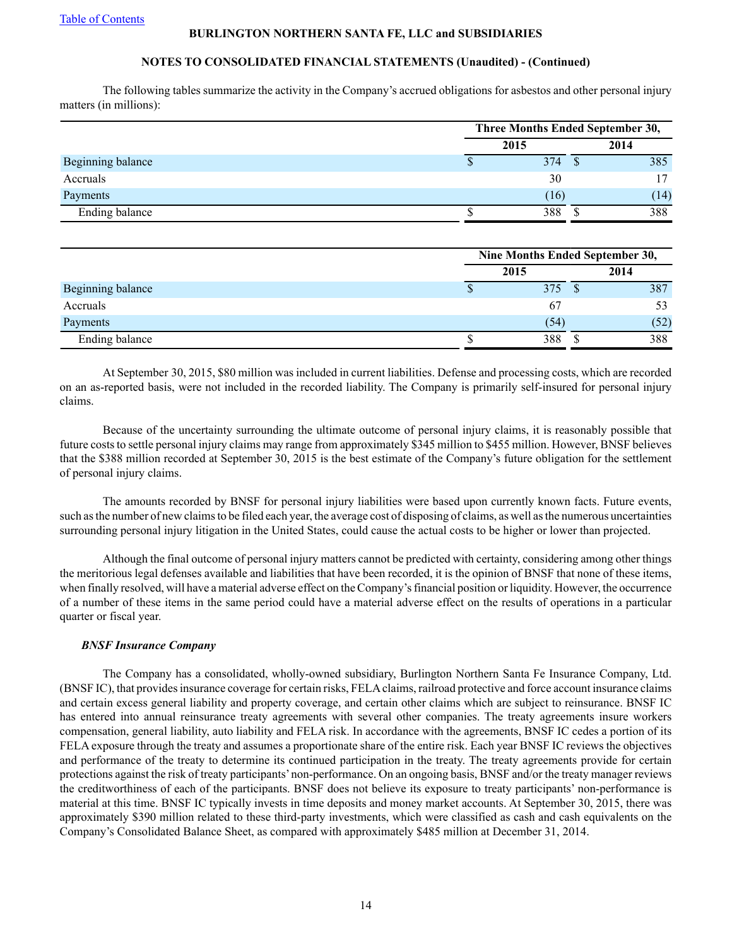# **NOTES TO CONSOLIDATED FINANCIAL STATEMENTS (Unaudited) - (Continued)**

The following tables summarize the activity in the Company's accrued obligations for asbestos and other personal injury matters (in millions):

|                   | Three Months Ended September 30, |  |      |  |  |
|-------------------|----------------------------------|--|------|--|--|
|                   | 2015                             |  | 2014 |  |  |
| Beginning balance | 374                              |  | 385  |  |  |
| Accruals          | 30                               |  | 17   |  |  |
| Payments          | (16)                             |  | (14) |  |  |
| Ending balance    | 388                              |  | 388  |  |  |

|                   | Nine Months Ended September 30, |  |      |  |  |
|-------------------|---------------------------------|--|------|--|--|
|                   | 2015                            |  | 2014 |  |  |
| Beginning balance | 375                             |  | 387  |  |  |
| Accruals          | 67                              |  | 53   |  |  |
| Payments          | (54)                            |  | (52) |  |  |
| Ending balance    | 388                             |  | 388  |  |  |

At September 30, 2015, \$80 million was included in current liabilities. Defense and processing costs, which are recorded on an as-reported basis, were not included in the recorded liability. The Company is primarily self-insured for personal injury claims.

Because of the uncertainty surrounding the ultimate outcome of personal injury claims, it is reasonably possible that future costs to settle personal injury claims may range from approximately \$345 million to \$455 million. However, BNSF believes that the \$388 million recorded at September 30, 2015 is the best estimate of the Company's future obligation for the settlement of personal injury claims.

The amounts recorded by BNSF for personal injury liabilities were based upon currently known facts. Future events, such as the number of new claims to be filed each year, the average cost of disposing of claims, as well as the numerous uncertainties surrounding personal injury litigation in the United States, could cause the actual costs to be higher or lower than projected.

Although the final outcome of personal injury matters cannot be predicted with certainty, considering among other things the meritorious legal defenses available and liabilities that have been recorded, it is the opinion of BNSF that none of these items, when finally resolved, will have a material adverse effect on the Company's financial position or liquidity. However, the occurrence of a number of these items in the same period could have a material adverse effect on the results of operations in a particular quarter or fiscal year.

# *BNSF Insurance Company*

The Company has a consolidated, wholly-owned subsidiary, Burlington Northern Santa Fe Insurance Company, Ltd. (BNSF IC), that provides insurance coverage for certain risks, FELAclaims, railroad protective and force account insurance claims and certain excess general liability and property coverage, and certain other claims which are subject to reinsurance. BNSF IC has entered into annual reinsurance treaty agreements with several other companies. The treaty agreements insure workers compensation, general liability, auto liability and FELA risk. In accordance with the agreements, BNSF IC cedes a portion of its FELA exposure through the treaty and assumes a proportionate share of the entire risk. Each year BNSF IC reviews the objectives and performance of the treaty to determine its continued participation in the treaty. The treaty agreements provide for certain protections against the risk of treaty participants'non-performance. On an ongoing basis, BNSF and/or the treaty manager reviews the creditworthiness of each of the participants. BNSF does not believe its exposure to treaty participants' non-performance is material at this time. BNSF IC typically invests in time deposits and money market accounts. At September 30, 2015, there was approximately \$390 million related to these third-party investments, which were classified as cash and cash equivalents on the Company's Consolidated Balance Sheet, as compared with approximately \$485 million at December 31, 2014.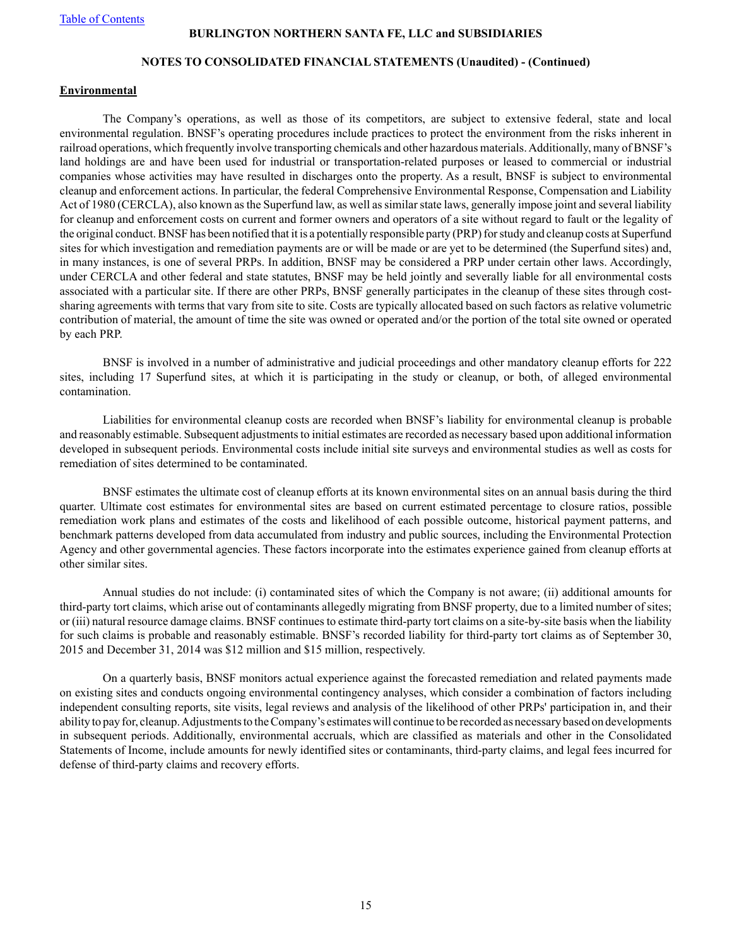## **NOTES TO CONSOLIDATED FINANCIAL STATEMENTS (Unaudited) - (Continued)**

#### **Environmental**

The Company's operations, as well as those of its competitors, are subject to extensive federal, state and local environmental regulation. BNSF's operating procedures include practices to protect the environment from the risks inherent in railroad operations, which frequently involve transporting chemicals and other hazardous materials. Additionally, many of BNSF's land holdings are and have been used for industrial or transportation-related purposes or leased to commercial or industrial companies whose activities may have resulted in discharges onto the property. As a result, BNSF is subject to environmental cleanup and enforcement actions. In particular, the federal Comprehensive Environmental Response, Compensation and Liability Act of 1980 (CERCLA), also known as the Superfund law, as well as similar state laws, generally impose joint and several liability for cleanup and enforcement costs on current and former owners and operators of a site without regard to fault or the legality of the original conduct. BNSF has been notified that it is a potentially responsible party (PRP) for study and cleanup costs at Superfund sites for which investigation and remediation payments are or will be made or are yet to be determined (the Superfund sites) and, in many instances, is one of several PRPs. In addition, BNSF may be considered a PRP under certain other laws. Accordingly, under CERCLA and other federal and state statutes, BNSF may be held jointly and severally liable for all environmental costs associated with a particular site. If there are other PRPs, BNSF generally participates in the cleanup of these sites through costsharing agreements with terms that vary from site to site. Costs are typically allocated based on such factors as relative volumetric contribution of material, the amount of time the site was owned or operated and/or the portion of the total site owned or operated by each PRP.

BNSF is involved in a number of administrative and judicial proceedings and other mandatory cleanup efforts for 222 sites, including 17 Superfund sites, at which it is participating in the study or cleanup, or both, of alleged environmental contamination.

Liabilities for environmental cleanup costs are recorded when BNSF's liability for environmental cleanup is probable and reasonably estimable. Subsequent adjustments to initial estimates are recorded as necessary based upon additional information developed in subsequent periods. Environmental costs include initial site surveys and environmental studies as well as costs for remediation of sites determined to be contaminated.

BNSF estimates the ultimate cost of cleanup efforts at its known environmental sites on an annual basis during the third quarter. Ultimate cost estimates for environmental sites are based on current estimated percentage to closure ratios, possible remediation work plans and estimates of the costs and likelihood of each possible outcome, historical payment patterns, and benchmark patterns developed from data accumulated from industry and public sources, including the Environmental Protection Agency and other governmental agencies. These factors incorporate into the estimates experience gained from cleanup efforts at other similar sites.

Annual studies do not include: (i) contaminated sites of which the Company is not aware; (ii) additional amounts for third-party tort claims, which arise out of contaminants allegedly migrating from BNSF property, due to a limited number of sites; or (iii) natural resource damage claims. BNSF continues to estimate third-party tort claims on a site-by-site basis when the liability for such claims is probable and reasonably estimable. BNSF's recorded liability for third-party tort claims as of September 30, 2015 and December 31, 2014 was \$12 million and \$15 million, respectively.

On a quarterly basis, BNSF monitors actual experience against the forecasted remediation and related payments made on existing sites and conducts ongoing environmental contingency analyses, which consider a combination of factors including independent consulting reports, site visits, legal reviews and analysis of the likelihood of other PRPs' participation in, and their ability to pay for, cleanup. Adjustments to the Company's estimates will continue to be recorded as necessary based on developments in subsequent periods. Additionally, environmental accruals, which are classified as materials and other in the Consolidated Statements of Income, include amounts for newly identified sites or contaminants, third-party claims, and legal fees incurred for defense of third-party claims and recovery efforts.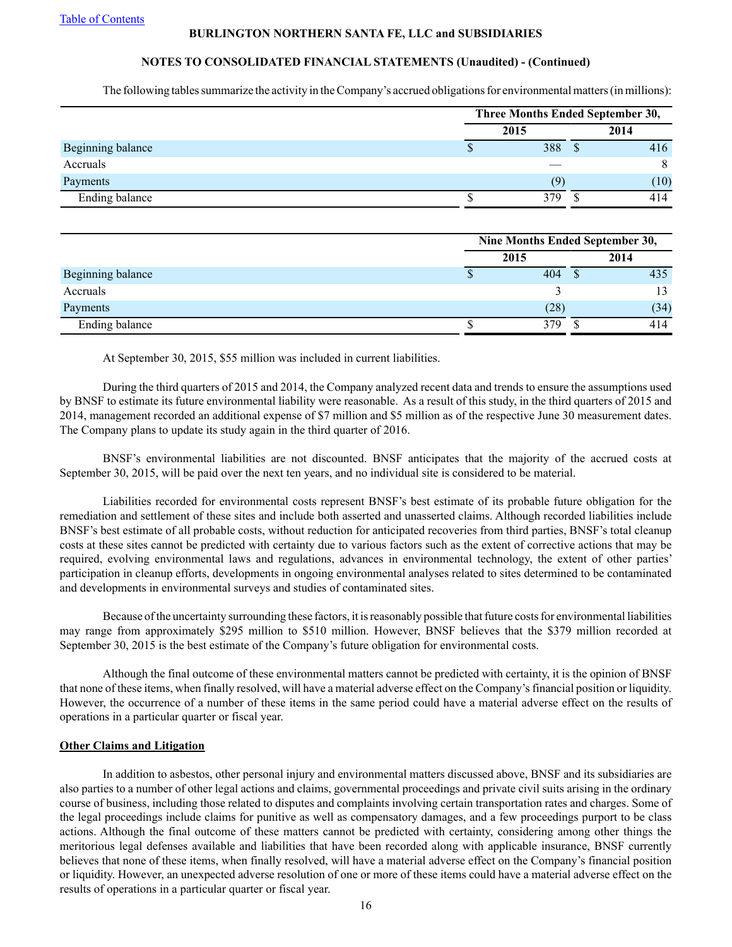# **NOTES TO CONSOLIDATED FINANCIAL STATEMENTS (Unaudited) - (Continued)**

The following tables summarize the activity in the Company's accrued obligations for environmental matters (in millions):

|                   | Three Months Ended September 30, |  |      |  |  |
|-------------------|----------------------------------|--|------|--|--|
|                   | 2015                             |  | 2014 |  |  |
| Beginning balance | 388                              |  | 416  |  |  |
| Accruals          |                                  |  | 8    |  |  |
| Payments          | (9)                              |  | (10) |  |  |
| Ending balance    | 379                              |  | 414  |  |  |

|                   | Nine Months Ended September 30, |  |      |  |  |
|-------------------|---------------------------------|--|------|--|--|
|                   | 2015                            |  |      |  |  |
| Beginning balance | 404                             |  | 435  |  |  |
| Accruals          |                                 |  | 13   |  |  |
| Payments          | (28)                            |  | (34) |  |  |
| Ending balance    | 379                             |  | 414  |  |  |

At September 30, 2015, \$55 million was included in current liabilities.

During the third quarters of 2015 and 2014, the Company analyzed recent data and trends to ensure the assumptions used by BNSF to estimate its future environmental liability were reasonable. As a result of this study, in the third quarters of 2015 and 2014, management recorded an additional expense of \$7 million and \$5 million as of the respective June 30 measurement dates. The Company plans to update its study again in the third quarter of 2016.

BNSF's environmental liabilities are not discounted. BNSF anticipates that the majority of the accrued costs at September 30, 2015, will be paid over the next ten years, and no individual site is considered to be material.

Liabilities recorded for environmental costs represent BNSF's best estimate of its probable future obligation for the remediation and settlement of these sites and include both asserted and unasserted claims. Although recorded liabilities include BNSF's best estimate of all probable costs, without reduction for anticipated recoveries from third parties, BNSF's total cleanup costs at these sites cannot be predicted with certainty due to various factors such as the extent of corrective actions that may be required, evolving environmental laws and regulations, advances in environmental technology, the extent of other parties' participation in cleanup efforts, developments in ongoing environmental analyses related to sites determined to be contaminated and developments in environmental surveys and studies of contaminated sites.

Because of the uncertainty surrounding these factors, it is reasonably possible that future costs for environmental liabilities may range from approximately \$295 million to \$510 million. However, BNSF believes that the \$379 million recorded at September 30, 2015 is the best estimate of the Company's future obligation for environmental costs.

Although the final outcome of these environmental matters cannot be predicted with certainty, it is the opinion of BNSF that none of these items, when finally resolved, will have a material adverse effect on the Company's financial position or liquidity. However, the occurrence of a number of these items in the same period could have a material adverse effect on the results of operations in a particular quarter or fiscal year.

#### **Other Claims and Litigation**

In addition to asbestos, other personal injury and environmental matters discussed above, BNSF and its subsidiaries are also parties to a number of other legal actions and claims, governmental proceedings and private civil suits arising in the ordinary course of business, including those related to disputes and complaints involving certain transportation rates and charges. Some of the legal proceedings include claims for punitive as well as compensatory damages, and a few proceedings purport to be class actions. Although the final outcome of these matters cannot be predicted with certainty, considering among other things the meritorious legal defenses available and liabilities that have been recorded along with applicable insurance, BNSF currently believes that none of these items, when finally resolved, will have a material adverse effect on the Company's financial position or liquidity. However, an unexpected adverse resolution of one or more of these items could have a material adverse effect on the results of operations in a particular quarter or fiscal year.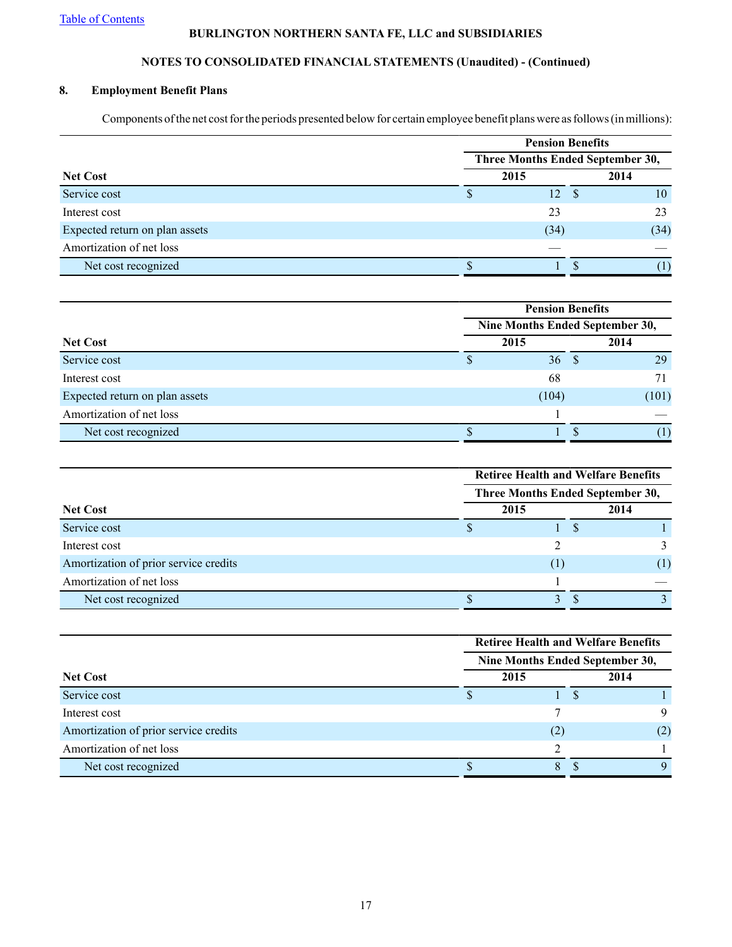# **NOTES TO CONSOLIDATED FINANCIAL STATEMENTS (Unaudited) - (Continued)**

# **8. Employment Benefit Plans**

Components of the net cost for the periods presented below for certain employee benefit plans were as follows (in millions):

|                                | <b>Pension Benefits</b>          |     |      |  |  |  |  |
|--------------------------------|----------------------------------|-----|------|--|--|--|--|
| <b>Net Cost</b>                | Three Months Ended September 30, |     |      |  |  |  |  |
|                                | 2015                             |     | 2014 |  |  |  |  |
| Service cost                   | 12                               | - S | 10   |  |  |  |  |
| Interest cost                  | 23                               |     | 23   |  |  |  |  |
| Expected return on plan assets | (34)                             |     | (34) |  |  |  |  |
| Amortization of net loss       |                                  |     |      |  |  |  |  |
| Net cost recognized            |                                  |     |      |  |  |  |  |

| <b>Pension Benefits</b> |       |      |                                         |  |  |
|-------------------------|-------|------|-----------------------------------------|--|--|
|                         |       |      |                                         |  |  |
|                         |       |      | 2014                                    |  |  |
|                         | 36    |      | 29                                      |  |  |
|                         | 68    |      | 71                                      |  |  |
|                         | (104) |      | (101)                                   |  |  |
|                         |       |      |                                         |  |  |
|                         |       |      |                                         |  |  |
|                         |       | 2015 | Nine Months Ended September 30,<br>- \$ |  |  |

|                                       | <b>Retiree Health and Welfare Benefits</b> |                                  |  |  |  |  |
|---------------------------------------|--------------------------------------------|----------------------------------|--|--|--|--|
| <b>Net Cost</b>                       |                                            | Three Months Ended September 30, |  |  |  |  |
|                                       | 2015                                       | 2014                             |  |  |  |  |
| Service cost                          |                                            |                                  |  |  |  |  |
| Interest cost                         |                                            |                                  |  |  |  |  |
| Amortization of prior service credits | Œ                                          | (1)                              |  |  |  |  |
| Amortization of net loss              |                                            |                                  |  |  |  |  |
| Net cost recognized                   |                                            |                                  |  |  |  |  |

|                                       | <b>Retiree Health and Welfare Benefits</b> |  |                                 |  |  |  |  |
|---------------------------------------|--------------------------------------------|--|---------------------------------|--|--|--|--|
| <b>Net Cost</b>                       |                                            |  | Nine Months Ended September 30, |  |  |  |  |
|                                       | 2015                                       |  | 2014                            |  |  |  |  |
| Service cost                          |                                            |  |                                 |  |  |  |  |
| Interest cost                         |                                            |  | Q                               |  |  |  |  |
| Amortization of prior service credits | (2)                                        |  | (2)                             |  |  |  |  |
| Amortization of net loss              |                                            |  |                                 |  |  |  |  |
| Net cost recognized                   |                                            |  | $\mathbf Q$                     |  |  |  |  |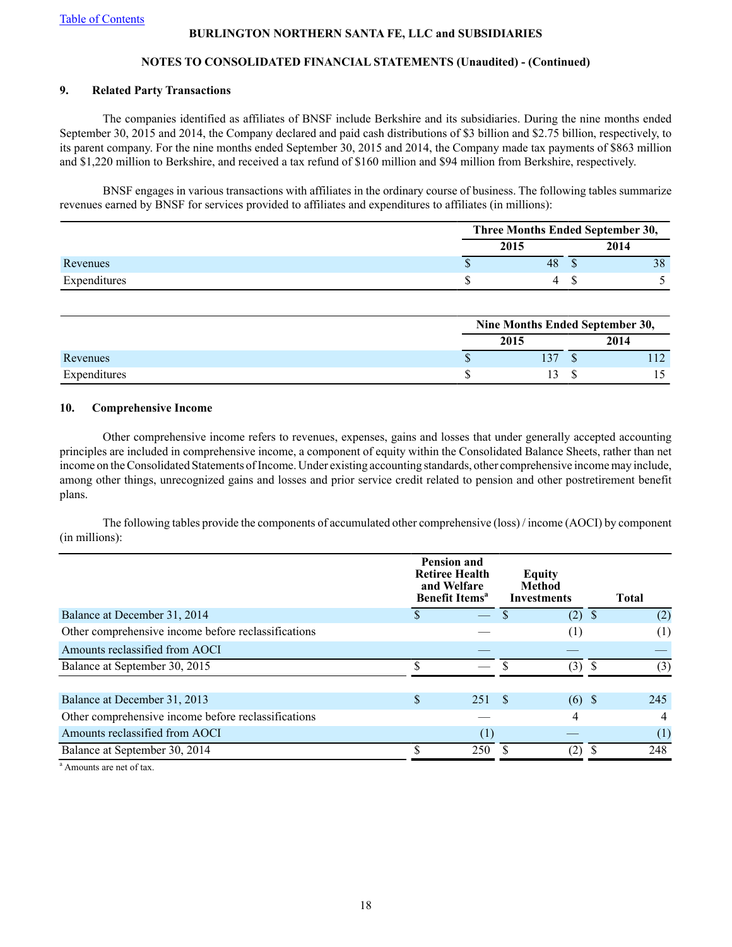# **NOTES TO CONSOLIDATED FINANCIAL STATEMENTS (Unaudited) - (Continued)**

# **9. Related Party Transactions**

The companies identified as affiliates of BNSF include Berkshire and its subsidiaries. During the nine months ended September 30, 2015 and 2014, the Company declared and paid cash distributions of \$3 billion and \$2.75 billion, respectively, to its parent company. For the nine months ended September 30, 2015 and 2014, the Company made tax payments of \$863 million and \$1,220 million to Berkshire, and received a tax refund of \$160 million and \$94 million from Berkshire, respectively.

BNSF engages in various transactions with affiliates in the ordinary course of business. The following tables summarize revenues earned by BNSF for services provided to affiliates and expenditures to affiliates (in millions):

|              | Three Months Ended September 30, |      |
|--------------|----------------------------------|------|
|              | 2015                             | 2014 |
| Revenues     | 48                               | 38   |
| Expenditures |                                  |      |

|              | Nine Months Ended September 30, |  |      |  |  |  |
|--------------|---------------------------------|--|------|--|--|--|
|              | 2015                            |  | 2014 |  |  |  |
| Revenues     |                                 |  |      |  |  |  |
| Expenditures | 13                              |  |      |  |  |  |

# **10. Comprehensive Income**

Other comprehensive income refers to revenues, expenses, gains and losses that under generally accepted accounting principles are included in comprehensive income, a component of equity within the Consolidated Balance Sheets, rather than net income on the Consolidated Statements of Income. Under existing accounting standards, other comprehensive income may include, among other things, unrecognized gains and losses and prior service credit related to pension and other postretirement benefit plans.

The following tables provide the components of accumulated other comprehensive (loss) / income (AOCI) by component (in millions):

|                                                     |   | <b>Pension and</b><br><b>Retiree Health</b><br>and Welfare<br><b>Benefit Items<sup>a</sup></b> | Equity<br><b>Method</b><br><b>Investments</b> |          | <b>Total</b> |
|-----------------------------------------------------|---|------------------------------------------------------------------------------------------------|-----------------------------------------------|----------|--------------|
| Balance at December 31, 2014                        |   |                                                                                                | (2)                                           | S        | (2)          |
| Other comprehensive income before reclassifications |   |                                                                                                | $\left(1\right)$                              |          | (1)          |
| Amounts reclassified from AOCI                      |   |                                                                                                |                                               |          |              |
| Balance at September 30, 2015                       |   |                                                                                                | (3)                                           | <b>S</b> | (3)          |
|                                                     |   |                                                                                                |                                               |          |              |
| Balance at December 31, 2013                        | S | 251S                                                                                           | $(6)$ \$                                      |          | 245          |
| Other comprehensive income before reclassifications |   |                                                                                                | 4                                             |          | 4            |
| Amounts reclassified from AOCI                      |   | (1)                                                                                            |                                               |          | (1)          |
| Balance at September 30, 2014                       |   | 250                                                                                            | (2)                                           | ۰D.      | 248          |

<sup>a</sup> Amounts are net of tax.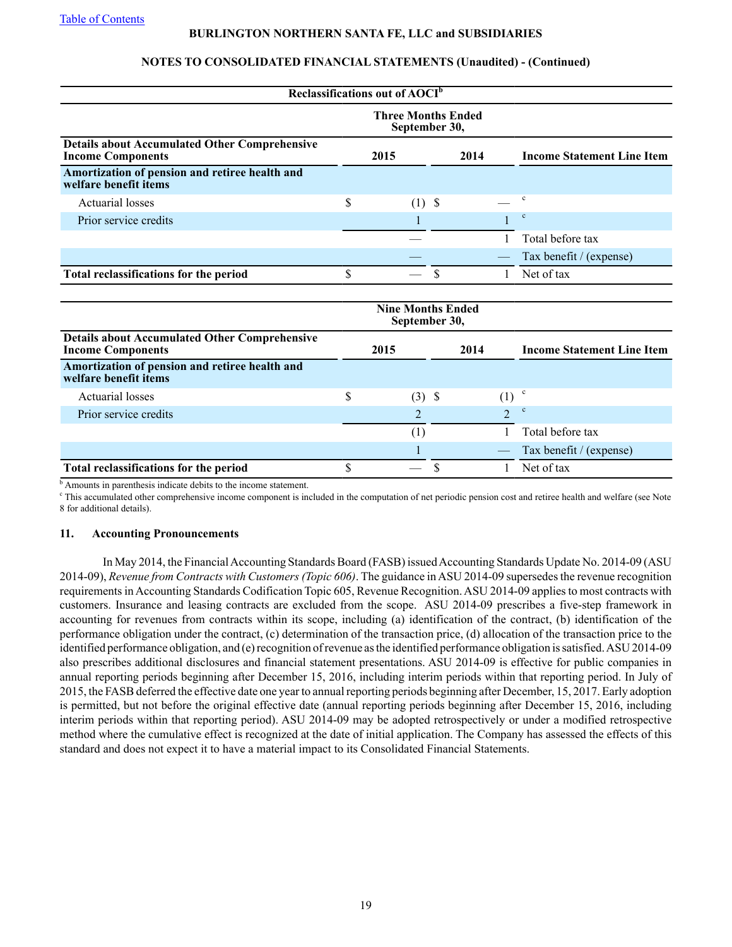# **NOTES TO CONSOLIDATED FINANCIAL STATEMENTS (Unaudited) - (Continued)**

| Reclassifications out of AOCI <sup>b</sup>                                       |                                            |          |  |      |  |                                   |  |  |
|----------------------------------------------------------------------------------|--------------------------------------------|----------|--|------|--|-----------------------------------|--|--|
|                                                                                  | <b>Three Months Ended</b><br>September 30, |          |  |      |  |                                   |  |  |
| <b>Details about Accumulated Other Comprehensive</b><br><b>Income Components</b> |                                            | 2015     |  | 2014 |  | <b>Income Statement Line Item</b> |  |  |
| Amortization of pension and retiree health and<br>welfare benefit items          |                                            |          |  |      |  |                                   |  |  |
| <b>Actuarial losses</b>                                                          | \$                                         | $(1)$ \$ |  |      |  | $\mathbf c$                       |  |  |
| Prior service credits                                                            |                                            |          |  |      |  | $\mathbf c$                       |  |  |
|                                                                                  |                                            |          |  |      |  | Total before tax                  |  |  |
|                                                                                  |                                            |          |  |      |  | Tax benefit / (expense)           |  |  |
| Total reclassifications for the period                                           |                                            |          |  |      |  | Net of tax                        |  |  |

|                                                                                  | <b>Nine Months Ended</b><br>September 30, |                             |  |      |                             |                                   |
|----------------------------------------------------------------------------------|-------------------------------------------|-----------------------------|--|------|-----------------------------|-----------------------------------|
| <b>Details about Accumulated Other Comprehensive</b><br><b>Income Components</b> |                                           | 2015                        |  | 2014 |                             | <b>Income Statement Line Item</b> |
| Amortization of pension and retiree health and<br>welfare benefit items          |                                           |                             |  |      |                             |                                   |
| Actuarial losses                                                                 | S                                         | $(3)$ \$                    |  |      | (1)                         |                                   |
| Prior service credits                                                            |                                           | $\mathcal{D}_{\mathcal{A}}$ |  |      | $\mathcal{D}_{\mathcal{L}}$ | $\mathbf c$                       |
|                                                                                  |                                           | (1)                         |  |      |                             | Total before tax                  |
|                                                                                  |                                           |                             |  |      |                             | Tax benefit / (expense)           |
| Total reclassifications for the period                                           |                                           |                             |  |      |                             | Net of tax                        |

**b** Amounts in parenthesis indicate debits to the income statement.

<sup>c</sup> This accumulated other comprehensive income component is included in the computation of net periodic pension cost and retiree health and welfare (see Note 8 for additional details).

#### **11. Accounting Pronouncements**

In May 2014, the Financial Accounting Standards Board (FASB) issued Accounting Standards Update No. 2014-09 (ASU 2014-09), *Revenue from Contracts with Customers (Topic 606)*. The guidance in ASU 2014-09 supersedes the revenue recognition requirements in Accounting Standards Codification Topic 605, Revenue Recognition. ASU 2014-09 applies to most contracts with customers. Insurance and leasing contracts are excluded from the scope. ASU 2014-09 prescribes a five-step framework in accounting for revenues from contracts within its scope, including (a) identification of the contract, (b) identification of the performance obligation under the contract, (c) determination of the transaction price, (d) allocation of the transaction price to the identified performance obligation, and (e) recognition of revenue as the identified performance obligation is satisfied. ASU 2014-09 also prescribes additional disclosures and financial statement presentations. ASU 2014-09 is effective for public companies in annual reporting periods beginning after December 15, 2016, including interim periods within that reporting period. In July of 2015, the FASB deferred the effective date one year to annual reporting periods beginning after December, 15, 2017. Early adoption is permitted, but not before the original effective date (annual reporting periods beginning after December 15, 2016, including interim periods within that reporting period). ASU 2014-09 may be adopted retrospectively or under a modified retrospective method where the cumulative effect is recognized at the date of initial application. The Company has assessed the effects of this standard and does not expect it to have a material impact to its Consolidated Financial Statements.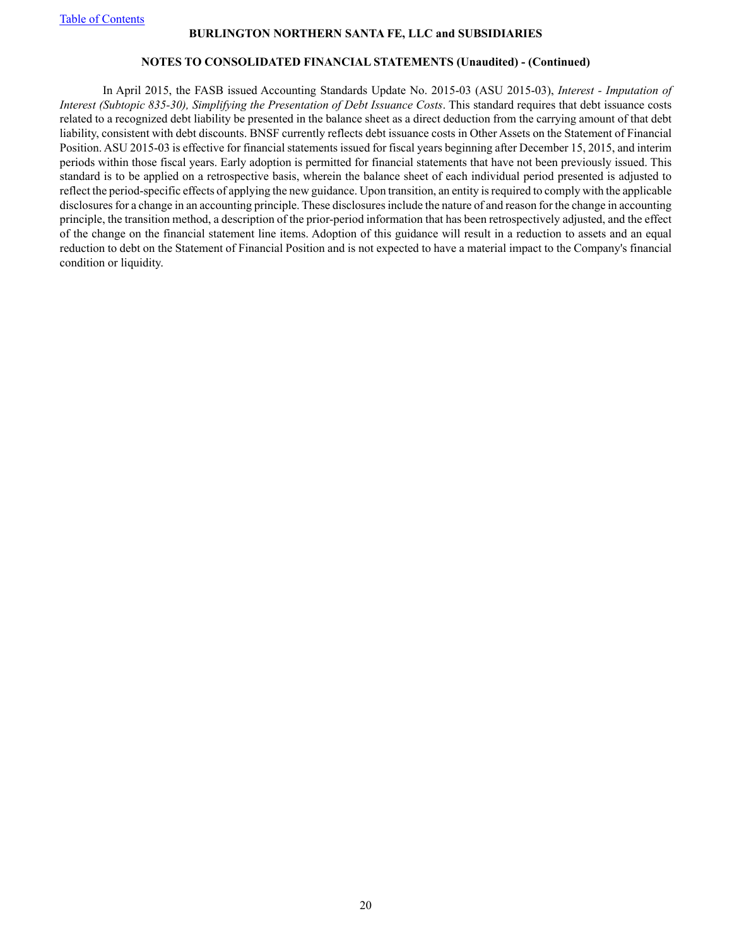# **NOTES TO CONSOLIDATED FINANCIAL STATEMENTS (Unaudited) - (Continued)**

In April 2015, the FASB issued Accounting Standards Update No. 2015-03 (ASU 2015-03), *Interest - Imputation of Interest (Subtopic 835-30), Simplifying the Presentation of Debt Issuance Costs*. This standard requires that debt issuance costs related to a recognized debt liability be presented in the balance sheet as a direct deduction from the carrying amount of that debt liability, consistent with debt discounts. BNSF currently reflects debt issuance costs in Other Assets on the Statement of Financial Position. ASU 2015-03 is effective for financial statements issued for fiscal years beginning after December 15, 2015, and interim periods within those fiscal years. Early adoption is permitted for financial statements that have not been previously issued. This standard is to be applied on a retrospective basis, wherein the balance sheet of each individual period presented is adjusted to reflect the period-specific effects of applying the new guidance. Upon transition, an entity is required to comply with the applicable disclosures for a change in an accounting principle. These disclosures include the nature of and reason for the change in accounting principle, the transition method, a description of the prior-period information that has been retrospectively adjusted, and the effect of the change on the financial statement line items. Adoption of this guidance will result in a reduction to assets and an equal reduction to debt on the Statement of Financial Position and is not expected to have a material impact to the Company's financial condition or liquidity.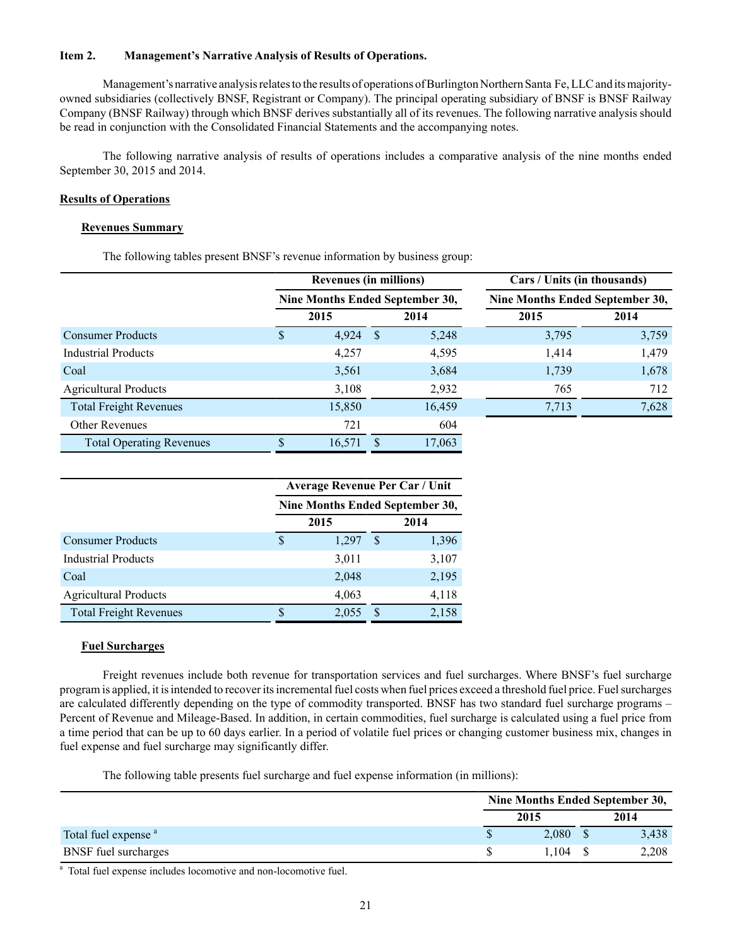# <span id="page-20-0"></span>**Item 2. Management's Narrative Analysis of Results of Operations.**

Management's narrative analysis relates to the results of operations of Burlington Northern Santa Fe, LLC and its majorityowned subsidiaries (collectively BNSF, Registrant or Company). The principal operating subsidiary of BNSF is BNSF Railway Company (BNSF Railway) through which BNSF derives substantially all of its revenues. The following narrative analysis should be read in conjunction with the Consolidated Financial Statements and the accompanying notes.

The following narrative analysis of results of operations includes a comparative analysis of the nine months ended September 30, 2015 and 2014.

# **Results of Operations**

## **Revenues Summary**

The following tables present BNSF's revenue information by business group:

|                                 |     | <b>Revenues (in millions)</b> |      |                                 | Cars / Units (in thousands)     |       |  |  |
|---------------------------------|-----|-------------------------------|------|---------------------------------|---------------------------------|-------|--|--|
|                                 |     |                               |      | Nine Months Ended September 30, | Nine Months Ended September 30, |       |  |  |
|                                 |     | 2014<br>2015                  |      | 2015                            | 2014                            |       |  |  |
| <b>Consumer Products</b>        |     | 4,924                         | - \$ | 5,248                           | 3,795                           | 3,759 |  |  |
| <b>Industrial Products</b>      |     | 4,257                         |      | 4,595                           | 1,414                           | 1,479 |  |  |
| Coal                            |     | 3,561                         |      | 3,684                           | 1,739                           | 1,678 |  |  |
| <b>Agricultural Products</b>    |     | 3,108                         |      | 2,932                           | 765                             | 712   |  |  |
| <b>Total Freight Revenues</b>   |     | 15,850                        |      | 16,459                          | 7,713                           | 7,628 |  |  |
| Other Revenues                  |     | 721                           |      | 604                             |                                 |       |  |  |
| <b>Total Operating Revenues</b> | ۰D. | 16,571                        |      | 17,063                          |                                 |       |  |  |

|                               | <b>Average Revenue Per Car / Unit</b> |       |      |       |  |  |  |  |  |
|-------------------------------|---------------------------------------|-------|------|-------|--|--|--|--|--|
|                               | Nine Months Ended September 30,       |       |      |       |  |  |  |  |  |
|                               |                                       | 2015  | 2014 |       |  |  |  |  |  |
| <b>Consumer Products</b>      | S.                                    | 1,297 | S    | 1,396 |  |  |  |  |  |
| <b>Industrial Products</b>    |                                       | 3,011 |      | 3,107 |  |  |  |  |  |
| Coal                          |                                       | 2,048 |      | 2,195 |  |  |  |  |  |
| <b>Agricultural Products</b>  |                                       | 4,063 |      | 4,118 |  |  |  |  |  |
| <b>Total Freight Revenues</b> |                                       | 2,055 |      | 2,158 |  |  |  |  |  |

#### **Fuel Surcharges**

Freight revenues include both revenue for transportation services and fuel surcharges. Where BNSF's fuel surcharge program is applied, it is intended to recover its incremental fuel costs when fuel prices exceed a threshold fuel price. Fuel surcharges are calculated differently depending on the type of commodity transported. BNSF has two standard fuel surcharge programs – Percent of Revenue and Mileage-Based. In addition, in certain commodities, fuel surcharge is calculated using a fuel price from a time period that can be up to 60 days earlier. In a period of volatile fuel prices or changing customer business mix, changes in fuel expense and fuel surcharge may significantly differ.

The following table presents fuel surcharge and fuel expense information (in millions):

|                                 | Nine Months Ended September 30, |       |      |       |  |
|---------------------------------|---------------------------------|-------|------|-------|--|
|                                 |                                 | 2015  | 2014 |       |  |
| Total fuel expense <sup>a</sup> |                                 | 2,080 |      | 3,438 |  |
| <b>BNSF</b> fuel surcharges     |                                 | 1.104 |      | 2,208 |  |

<sup>a</sup> Total fuel expense includes locomotive and non-locomotive fuel.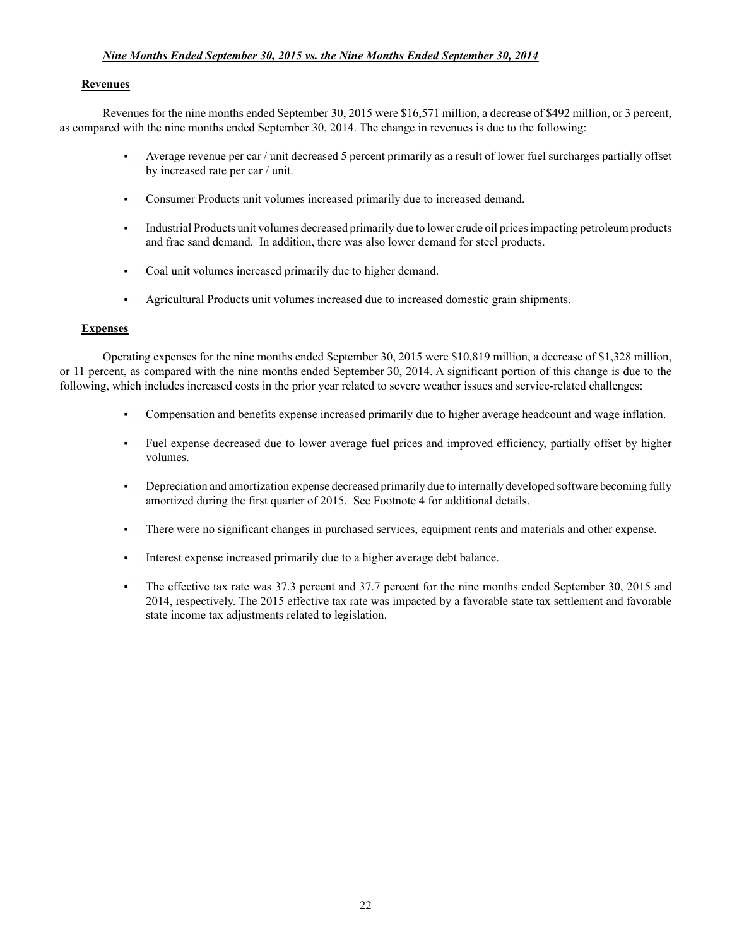# *Nine Months Ended September 30, 2015 vs. the Nine Months Ended September 30, 2014*

## **Revenues**

Revenues for the nine months ended September 30, 2015 were \$16,571 million, a decrease of \$492 million, or 3 percent, as compared with the nine months ended September 30, 2014. The change in revenues is due to the following:

- Average revenue per car / unit decreased 5 percent primarily as a result of lower fuel surcharges partially offset by increased rate per car / unit.
- Consumer Products unit volumes increased primarily due to increased demand.
- Industrial Products unit volumes decreased primarily due to lower crude oil prices impacting petroleum products and frac sand demand. In addition, there was also lower demand for steel products.
- $\blacksquare$ Coal unit volumes increased primarily due to higher demand.
- Agricultural Products unit volumes increased due to increased domestic grain shipments.

## **Expenses**

Operating expenses for the nine months ended September 30, 2015 were \$10,819 million, a decrease of \$1,328 million, or 11 percent, as compared with the nine months ended September 30, 2014. A significant portion of this change is due to the following, which includes increased costs in the prior year related to severe weather issues and service-related challenges:

- Compensation and benefits expense increased primarily due to higher average headcount and wage inflation.
- Fuel expense decreased due to lower average fuel prices and improved efficiency, partially offset by higher  $\blacksquare$ volumes.
- Depreciation and amortization expense decreased primarily due to internally developed software becoming fully amortized during the first quarter of 2015. See Footnote 4 for additional details.
- There were no significant changes in purchased services, equipment rents and materials and other expense.
- Interest expense increased primarily due to a higher average debt balance.
- The effective tax rate was 37.3 percent and 37.7 percent for the nine months ended September 30, 2015 and 2014, respectively. The 2015 effective tax rate was impacted by a favorable state tax settlement and favorable state income tax adjustments related to legislation.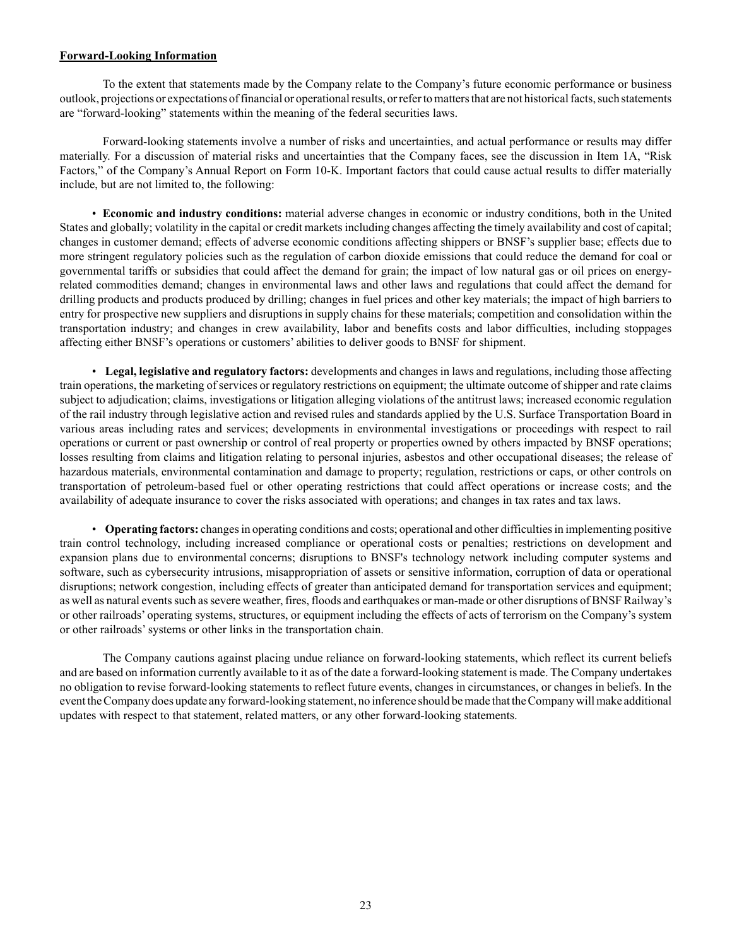#### **Forward-Looking Information**

To the extent that statements made by the Company relate to the Company's future economic performance or business outlook, projections or expectations of financial or operational results, or refer to matters that are not historical facts, such statements are "forward-looking" statements within the meaning of the federal securities laws.

Forward-looking statements involve a number of risks and uncertainties, and actual performance or results may differ materially. For a discussion of material risks and uncertainties that the Company faces, see the discussion in Item 1A, "Risk Factors," of the Company's Annual Report on Form 10-K. Important factors that could cause actual results to differ materially include, but are not limited to, the following:

• **Economic and industry conditions:** material adverse changes in economic or industry conditions, both in the United States and globally; volatility in the capital or credit markets including changes affecting the timely availability and cost of capital; changes in customer demand; effects of adverse economic conditions affecting shippers or BNSF's supplier base; effects due to more stringent regulatory policies such as the regulation of carbon dioxide emissions that could reduce the demand for coal or governmental tariffs or subsidies that could affect the demand for grain; the impact of low natural gas or oil prices on energyrelated commodities demand; changes in environmental laws and other laws and regulations that could affect the demand for drilling products and products produced by drilling; changes in fuel prices and other key materials; the impact of high barriers to entry for prospective new suppliers and disruptions in supply chains for these materials; competition and consolidation within the transportation industry; and changes in crew availability, labor and benefits costs and labor difficulties, including stoppages affecting either BNSF's operations or customers' abilities to deliver goods to BNSF for shipment.

• **Legal, legislative and regulatory factors:** developments and changes in laws and regulations, including those affecting train operations, the marketing of services or regulatory restrictions on equipment; the ultimate outcome of shipper and rate claims subject to adjudication; claims, investigations or litigation alleging violations of the antitrust laws; increased economic regulation of the rail industry through legislative action and revised rules and standards applied by the U.S. Surface Transportation Board in various areas including rates and services; developments in environmental investigations or proceedings with respect to rail operations or current or past ownership or control of real property or properties owned by others impacted by BNSF operations; losses resulting from claims and litigation relating to personal injuries, asbestos and other occupational diseases; the release of hazardous materials, environmental contamination and damage to property; regulation, restrictions or caps, or other controls on transportation of petroleum-based fuel or other operating restrictions that could affect operations or increase costs; and the availability of adequate insurance to cover the risks associated with operations; and changes in tax rates and tax laws.

• **Operating factors:** changes in operating conditions and costs; operational and other difficulties in implementing positive train control technology, including increased compliance or operational costs or penalties; restrictions on development and expansion plans due to environmental concerns; disruptions to BNSF's technology network including computer systems and software, such as cybersecurity intrusions, misappropriation of assets or sensitive information, corruption of data or operational disruptions; network congestion, including effects of greater than anticipated demand for transportation services and equipment; as well as natural events such as severe weather, fires, floods and earthquakes or man-made or other disruptions of BNSF Railway's or other railroads' operating systems, structures, or equipment including the effects of acts of terrorism on the Company's system or other railroads'systems or other links in the transportation chain.

The Company cautions against placing undue reliance on forward-looking statements, which reflect its current beliefs and are based on information currently available to it as of the date a forward-looking statement is made. The Company undertakes no obligation to revise forward-looking statements to reflect future events, changes in circumstances, or changes in beliefs. In the event the Company does update any forward-looking statement, no inference should be made that the Company will make additional updates with respect to that statement, related matters, or any other forward-looking statements.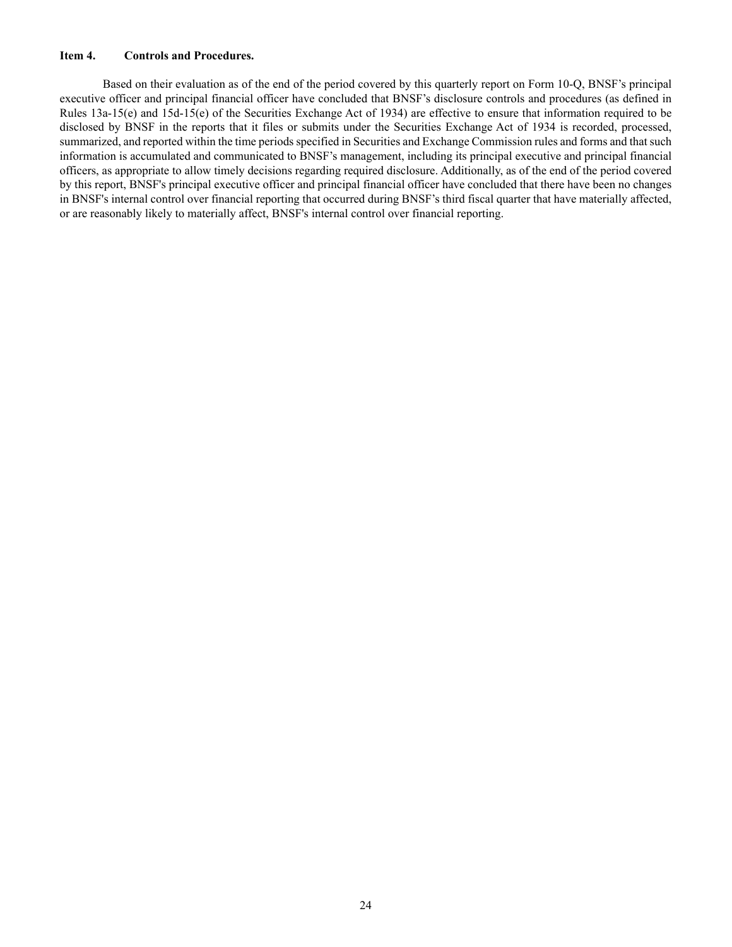# <span id="page-23-0"></span>**Item 4. Controls and Procedures.**

Based on their evaluation as of the end of the period covered by this quarterly report on Form 10-Q, BNSF's principal executive officer and principal financial officer have concluded that BNSF's disclosure controls and procedures (as defined in Rules 13a-15(e) and 15d-15(e) of the Securities Exchange Act of 1934) are effective to ensure that information required to be disclosed by BNSF in the reports that it files or submits under the Securities Exchange Act of 1934 is recorded, processed, summarized, and reported within the time periods specified in Securities and Exchange Commission rules and forms and that such information is accumulated and communicated to BNSF's management, including its principal executive and principal financial officers, as appropriate to allow timely decisions regarding required disclosure. Additionally, as of the end of the period covered by this report, BNSF's principal executive officer and principal financial officer have concluded that there have been no changes in BNSF's internal control over financial reporting that occurred during BNSF's third fiscal quarter that have materially affected, or are reasonably likely to materially affect, BNSF's internal control over financial reporting.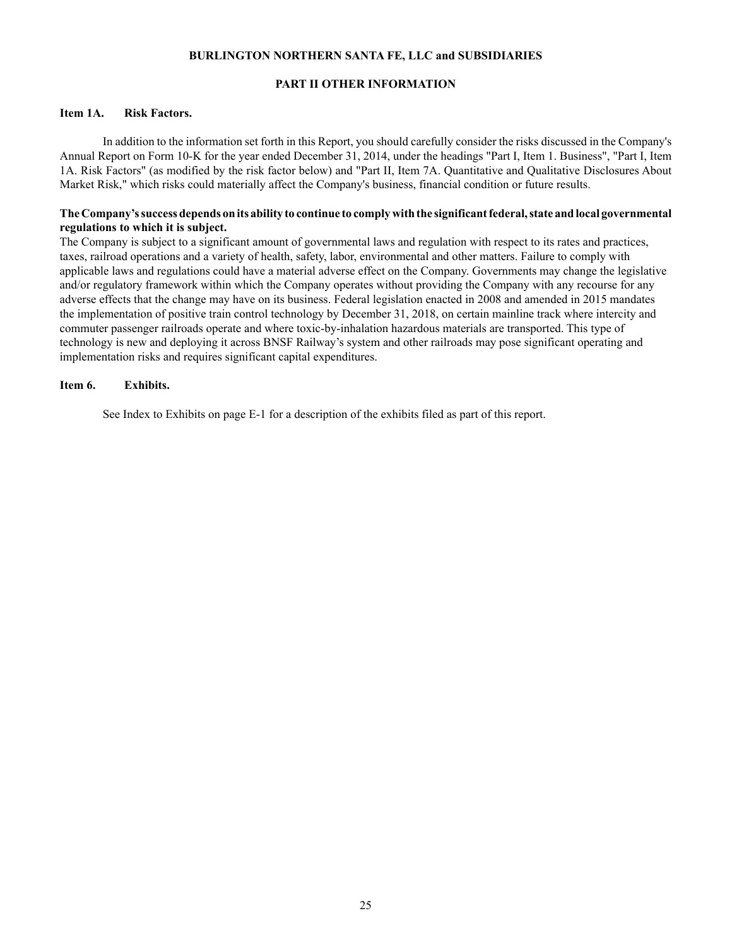#### **PART II OTHER INFORMATION**

# <span id="page-24-0"></span>**Item 1A. Risk Factors.**

In addition to the information set forth in this Report, you should carefully consider the risks discussed in the Company's Annual Report on Form 10-K for the year ended December 31, 2014, under the headings "Part I, Item 1. Business", "Part I, Item 1A. Risk Factors" (as modified by the risk factor below) and "Part II, Item 7A. Quantitative and Qualitative Disclosures About Market Risk," which risks could materially affect the Company's business, financial condition or future results.

#### **The Company's success depends on its ability to continue to comply with the significant federal, state and local governmental regulations to which it is subject.**

The Company is subject to a significant amount of governmental laws and regulation with respect to its rates and practices, taxes, railroad operations and a variety of health, safety, labor, environmental and other matters. Failure to comply with applicable laws and regulations could have a material adverse effect on the Company. Governments may change the legislative and/or regulatory framework within which the Company operates without providing the Company with any recourse for any adverse effects that the change may have on its business. Federal legislation enacted in 2008 and amended in 2015 mandates the implementation of positive train control technology by December 31, 2018, on certain mainline track where intercity and commuter passenger railroads operate and where toxic-by-inhalation hazardous materials are transported. This type of technology is new and deploying it across BNSF Railway's system and other railroads may pose significant operating and implementation risks and requires significant capital expenditures.

## <span id="page-24-1"></span>**Item 6. Exhibits.**

See Index to Exhibits on page E-1 for a description of the exhibits filed as part of this report.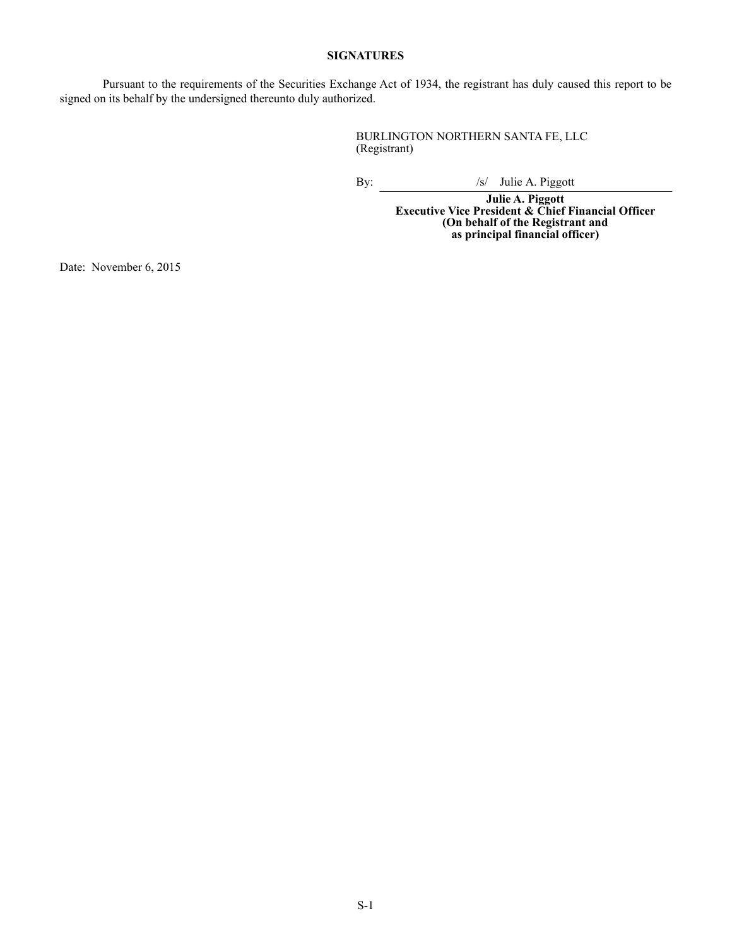# **SIGNATURES**

<span id="page-25-0"></span>Pursuant to the requirements of the Securities Exchange Act of 1934, the registrant has duly caused this report to be signed on its behalf by the undersigned thereunto duly authorized.

> BURLINGTON NORTHERN SANTA FE, LLC (Registrant)

By: /s/ Julie A. Piggott

**Julie A. Piggott Executive Vice President & Chief Financial Officer (On behalf of the Registrant and as principal financial officer)**

Date: November 6, 2015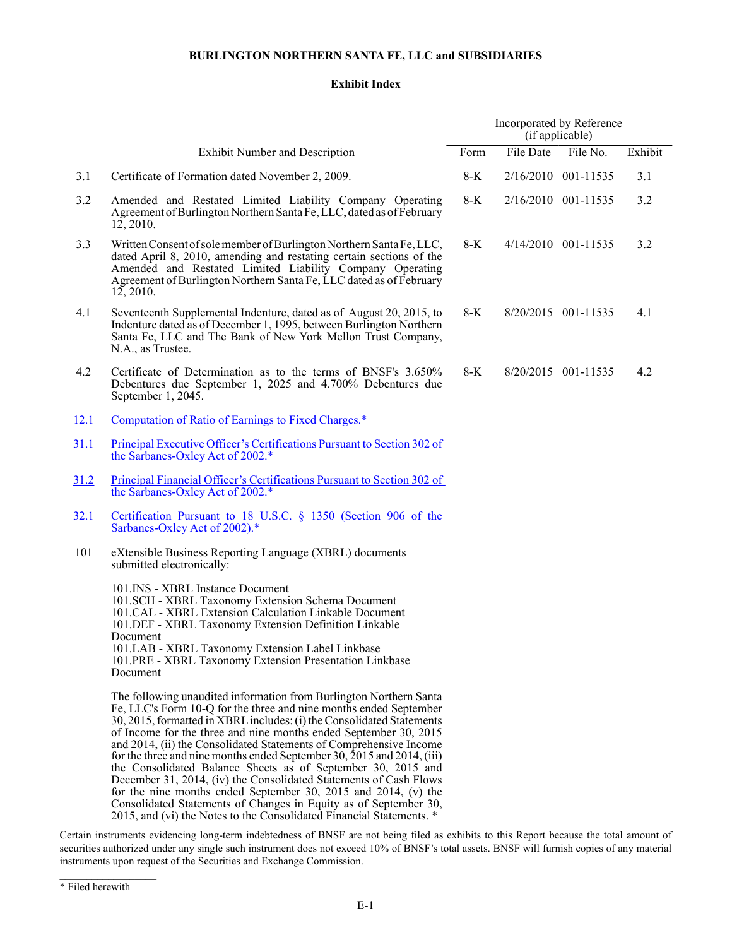# **Exhibit Index**

<span id="page-26-0"></span>

|             |                                                                                                                                                                                                                                                                                                                                                                                                                                                                                                                                                                                                                                                                                                                                                                                         | <b>Incorporated by Reference</b><br>(if applicable) |           |                     |         |
|-------------|-----------------------------------------------------------------------------------------------------------------------------------------------------------------------------------------------------------------------------------------------------------------------------------------------------------------------------------------------------------------------------------------------------------------------------------------------------------------------------------------------------------------------------------------------------------------------------------------------------------------------------------------------------------------------------------------------------------------------------------------------------------------------------------------|-----------------------------------------------------|-----------|---------------------|---------|
|             | <b>Exhibit Number and Description</b>                                                                                                                                                                                                                                                                                                                                                                                                                                                                                                                                                                                                                                                                                                                                                   | Form                                                | File Date | File No.            | Exhibit |
| 3.1         | Certificate of Formation dated November 2, 2009.                                                                                                                                                                                                                                                                                                                                                                                                                                                                                                                                                                                                                                                                                                                                        | $8-K$                                               |           | 2/16/2010 001-11535 | 3.1     |
| 3.2         | Amended and Restated Limited Liability Company Operating<br>Agreement of Burlington Northern Santa Fe, LLC, dated as of February<br>12, 2010.                                                                                                                                                                                                                                                                                                                                                                                                                                                                                                                                                                                                                                           | 8-K                                                 |           | 2/16/2010 001-11535 | 3.2     |
| 3.3         | Written Consent of sole member of Burlington Northern Santa Fe, LLC,<br>dated April 8, 2010, amending and restating certain sections of the<br>Amended and Restated Limited Liability Company Operating<br>Agreement of Burlington Northern Santa Fe, LLC dated as of February<br>12, 2010.                                                                                                                                                                                                                                                                                                                                                                                                                                                                                             | 8-K                                                 |           | 4/14/2010 001-11535 | 3.2     |
| 4.1         | Seventeenth Supplemental Indenture, dated as of August 20, 2015, to<br>Indenture dated as of December 1, 1995, between Burlington Northern<br>Santa Fe, LLC and The Bank of New York Mellon Trust Company,<br>N.A., as Trustee.                                                                                                                                                                                                                                                                                                                                                                                                                                                                                                                                                         | 8-K                                                 |           | 8/20/2015 001-11535 | 4.1     |
| 4.2         | Certificate of Determination as to the terms of BNSF's 3.650%<br>Debentures due September 1, 2025 and 4.700% Debentures due<br>September 1, 2045.                                                                                                                                                                                                                                                                                                                                                                                                                                                                                                                                                                                                                                       | 8-K                                                 |           | 8/20/2015 001-11535 | 4.2     |
| 12.1        | Computation of Ratio of Earnings to Fixed Charges.*                                                                                                                                                                                                                                                                                                                                                                                                                                                                                                                                                                                                                                                                                                                                     |                                                     |           |                     |         |
| <u>31.1</u> | Principal Executive Officer's Certifications Pursuant to Section 302 of<br>the Sarbanes-Oxley Act of 2002.*                                                                                                                                                                                                                                                                                                                                                                                                                                                                                                                                                                                                                                                                             |                                                     |           |                     |         |
| 31.2        | Principal Financial Officer's Certifications Pursuant to Section 302 of<br>the Sarbanes-Oxley Act of 2002.*                                                                                                                                                                                                                                                                                                                                                                                                                                                                                                                                                                                                                                                                             |                                                     |           |                     |         |
| 32.1        | Certification Pursuant to 18 U.S.C. § 1350 (Section 906 of the<br>Sarbanes-Oxley Act of 2002).*                                                                                                                                                                                                                                                                                                                                                                                                                                                                                                                                                                                                                                                                                         |                                                     |           |                     |         |
| 101         | eXtensible Business Reporting Language (XBRL) documents<br>submitted electronically:                                                                                                                                                                                                                                                                                                                                                                                                                                                                                                                                                                                                                                                                                                    |                                                     |           |                     |         |
|             | 101.INS - XBRL Instance Document<br>101.SCH - XBRL Taxonomy Extension Schema Document<br>101.CAL - XBRL Extension Calculation Linkable Document<br>101.DEF - XBRL Taxonomy Extension Definition Linkable<br>Document<br>101.LAB - XBRL Taxonomy Extension Label Linkbase<br>101.PRE - XBRL Taxonomy Extension Presentation Linkbase<br>Document                                                                                                                                                                                                                                                                                                                                                                                                                                         |                                                     |           |                     |         |
|             | The following unaudited information from Burlington Northern Santa<br>Fe, LLC's Form 10-Q for the three and nine months ended September<br>30, 2015, formatted in XBRL includes: (i) the Consolidated Statements<br>of Income for the three and nine months ended September 30, 2015<br>and 2014, (ii) the Consolidated Statements of Comprehensive Income<br>for the three and nine months ended September 30, 2015 and 2014, (iii)<br>the Consolidated Balance Sheets as of September 30, 2015 and<br>December 31, 2014, (iv) the Consolidated Statements of Cash Flows<br>for the nine months ended September 30, 2015 and 2014, (v) the<br>Consolidated Statements of Changes in Equity as of September 30,<br>2015, and (vi) the Notes to the Consolidated Financial Statements. * |                                                     |           |                     |         |

Certain instruments evidencing long-term indebtedness of BNSF are not being filed as exhibits to this Report because the total amount of securities authorized under any single such instrument does not exceed 10% of BNSF's total assets. BNSF will furnish copies of any material instruments upon request of the Securities and Exchange Commission.

<sup>\*</sup> Filed herewith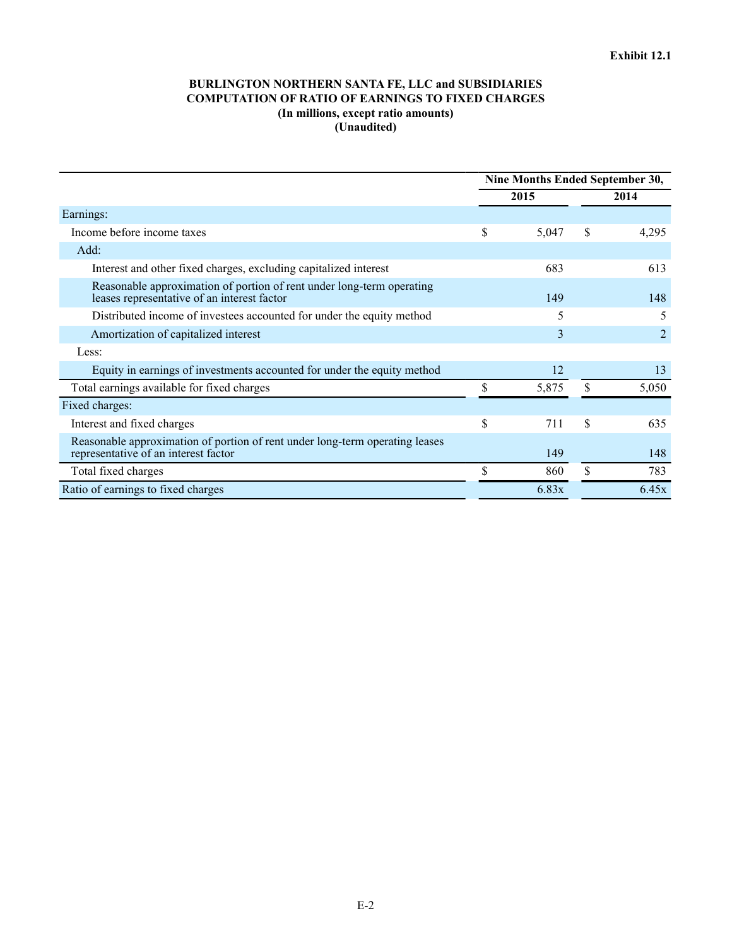# **BURLINGTON NORTHERN SANTA FE, LLC and SUBSIDIARIES COMPUTATION OF RATIO OF EARNINGS TO FIXED CHARGES (In millions, except ratio amounts) (Unaudited)**

<span id="page-27-0"></span>

| Nine Months Ended September 30, |       |      |                |
|---------------------------------|-------|------|----------------|
|                                 |       |      | 2014           |
|                                 |       |      |                |
| \$                              | 5,047 | \$   | 4,295          |
|                                 |       |      |                |
|                                 | 683   |      | 613            |
|                                 | 149   |      | 148            |
|                                 | 5     |      | 5              |
|                                 | 3     |      | $\overline{2}$ |
|                                 |       |      |                |
|                                 | 12    |      | 13             |
| \$                              | 5,875 | \$   | 5,050          |
|                                 |       |      |                |
| \$                              | 711   | \$   | 635            |
|                                 | 149   |      | 148            |
| \$                              | 860   | \$   | 783            |
|                                 | 6.83x |      | 6.45x          |
|                                 |       | 2015 |                |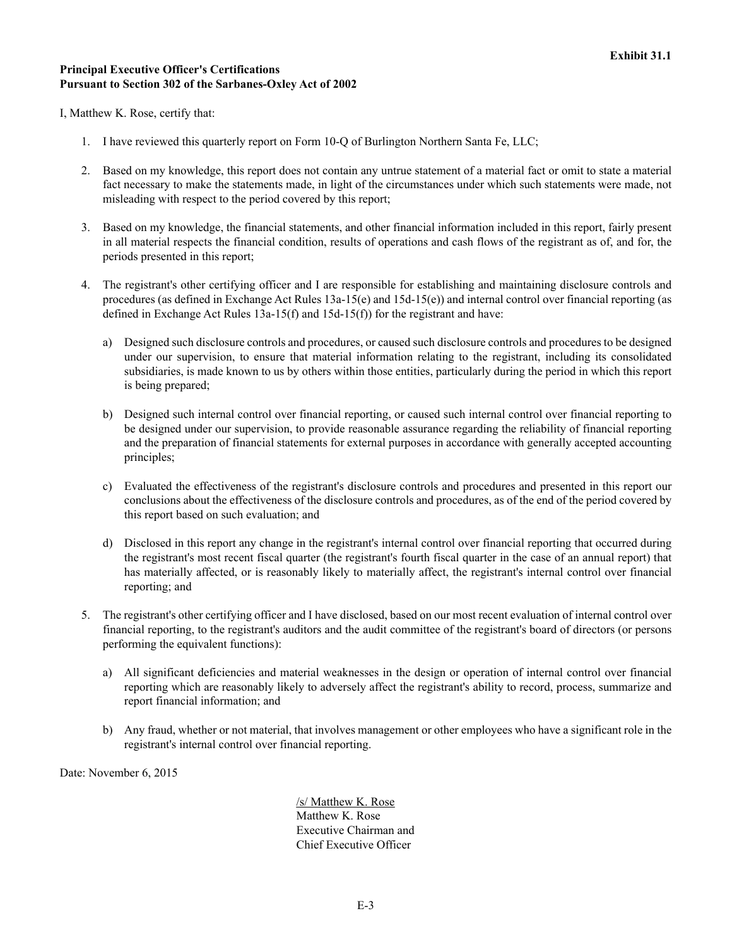# <span id="page-28-0"></span>**Principal Executive Officer's Certifications Pursuant to Section 302 of the Sarbanes-Oxley Act of 2002**

I, Matthew K. Rose, certify that:

- 1. I have reviewed this quarterly report on Form 10-Q of Burlington Northern Santa Fe, LLC;
- 2. Based on my knowledge, this report does not contain any untrue statement of a material fact or omit to state a material fact necessary to make the statements made, in light of the circumstances under which such statements were made, not misleading with respect to the period covered by this report;
- 3. Based on my knowledge, the financial statements, and other financial information included in this report, fairly present in all material respects the financial condition, results of operations and cash flows of the registrant as of, and for, the periods presented in this report;
- 4. The registrant's other certifying officer and I are responsible for establishing and maintaining disclosure controls and procedures (as defined in Exchange Act Rules 13a-15(e) and 15d-15(e)) and internal control over financial reporting (as defined in Exchange Act Rules 13a-15(f) and 15d-15(f)) for the registrant and have:
	- a) Designed such disclosure controls and procedures, or caused such disclosure controls and procedures to be designed under our supervision, to ensure that material information relating to the registrant, including its consolidated subsidiaries, is made known to us by others within those entities, particularly during the period in which this report is being prepared;
	- b) Designed such internal control over financial reporting, or caused such internal control over financial reporting to be designed under our supervision, to provide reasonable assurance regarding the reliability of financial reporting and the preparation of financial statements for external purposes in accordance with generally accepted accounting principles;
	- c) Evaluated the effectiveness of the registrant's disclosure controls and procedures and presented in this report our conclusions about the effectiveness of the disclosure controls and procedures, as of the end of the period covered by this report based on such evaluation; and
	- d) Disclosed in this report any change in the registrant's internal control over financial reporting that occurred during the registrant's most recent fiscal quarter (the registrant's fourth fiscal quarter in the case of an annual report) that has materially affected, or is reasonably likely to materially affect, the registrant's internal control over financial reporting; and
- 5. The registrant's other certifying officer and I have disclosed, based on our most recent evaluation of internal control over financial reporting, to the registrant's auditors and the audit committee of the registrant's board of directors (or persons performing the equivalent functions):
	- a) All significant deficiencies and material weaknesses in the design or operation of internal control over financial reporting which are reasonably likely to adversely affect the registrant's ability to record, process, summarize and report financial information; and
	- b) Any fraud, whether or not material, that involves management or other employees who have a significant role in the registrant's internal control over financial reporting.

Date: November 6, 2015

/s/ Matthew K. Rose Matthew K. Rose Executive Chairman and Chief Executive Officer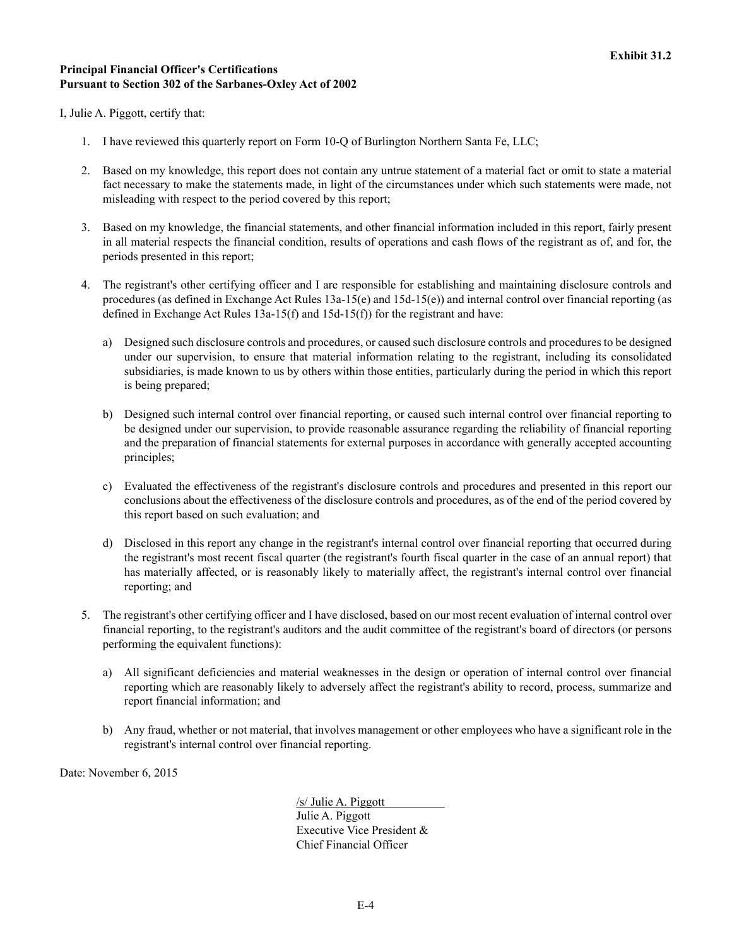# <span id="page-29-0"></span>**Principal Financial Officer's Certifications Pursuant to Section 302 of the Sarbanes-Oxley Act of 2002**

I, Julie A. Piggott, certify that:

- 1. I have reviewed this quarterly report on Form 10-Q of Burlington Northern Santa Fe, LLC;
- 2. Based on my knowledge, this report does not contain any untrue statement of a material fact or omit to state a material fact necessary to make the statements made, in light of the circumstances under which such statements were made, not misleading with respect to the period covered by this report;
- 3. Based on my knowledge, the financial statements, and other financial information included in this report, fairly present in all material respects the financial condition, results of operations and cash flows of the registrant as of, and for, the periods presented in this report;
- 4. The registrant's other certifying officer and I are responsible for establishing and maintaining disclosure controls and procedures (as defined in Exchange Act Rules 13a-15(e) and 15d-15(e)) and internal control over financial reporting (as defined in Exchange Act Rules 13a-15(f) and 15d-15(f)) for the registrant and have:
	- a) Designed such disclosure controls and procedures, or caused such disclosure controls and procedures to be designed under our supervision, to ensure that material information relating to the registrant, including its consolidated subsidiaries, is made known to us by others within those entities, particularly during the period in which this report is being prepared;
	- b) Designed such internal control over financial reporting, or caused such internal control over financial reporting to be designed under our supervision, to provide reasonable assurance regarding the reliability of financial reporting and the preparation of financial statements for external purposes in accordance with generally accepted accounting principles;
	- c) Evaluated the effectiveness of the registrant's disclosure controls and procedures and presented in this report our conclusions about the effectiveness of the disclosure controls and procedures, as of the end of the period covered by this report based on such evaluation; and
	- d) Disclosed in this report any change in the registrant's internal control over financial reporting that occurred during the registrant's most recent fiscal quarter (the registrant's fourth fiscal quarter in the case of an annual report) that has materially affected, or is reasonably likely to materially affect, the registrant's internal control over financial reporting; and
- 5. The registrant's other certifying officer and I have disclosed, based on our most recent evaluation of internal control over financial reporting, to the registrant's auditors and the audit committee of the registrant's board of directors (or persons performing the equivalent functions):
	- a) All significant deficiencies and material weaknesses in the design or operation of internal control over financial reporting which are reasonably likely to adversely affect the registrant's ability to record, process, summarize and report financial information; and
	- b) Any fraud, whether or not material, that involves management or other employees who have a significant role in the registrant's internal control over financial reporting.

Date: November 6, 2015

/s/ Julie A. Piggott Julie A. Piggott Executive Vice President & Chief Financial Officer